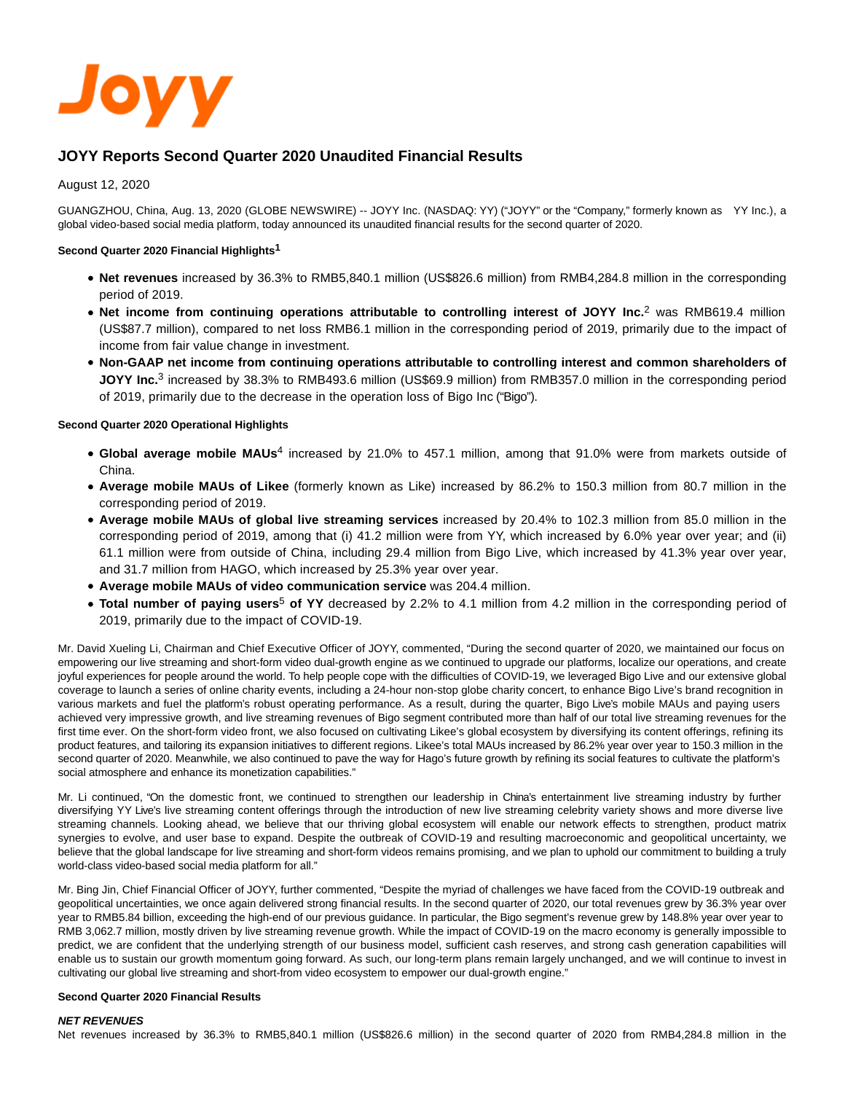

# **JOYY Reports Second Quarter 2020 Unaudited Financial Results**

August 12, 2020

GUANGZHOU, China, Aug. 13, 2020 (GLOBE NEWSWIRE) -- JOYY Inc. (NASDAQ: YY) ("JOYY" or the "Company," formerly known as YY Inc.), a global video-based social media platform, today announced its unaudited financial results for the second quarter of 2020.

## **Second Quarter 2020 Financial Highlights1**

- **Net revenues** increased by 36.3% to RMB5,840.1 million (US\$826.6 million) from RMB4,284.8 million in the corresponding period of 2019.
- Net income from continuing operations attributable to controlling interest of JOYY Inc.<sup>2</sup> was RMB619.4 million (US\$87.7 million), compared to net loss RMB6.1 million in the corresponding period of 2019, primarily due to the impact of income from fair value change in investment.
- **Non-GAAP net income from continuing operations attributable to controlling interest and common shareholders of** JOYY Inc.<sup>3</sup> increased by 38.3% to RMB493.6 million (US\$69.9 million) from RMB357.0 million in the corresponding period of 2019, primarily due to the decrease in the operation loss of Bigo Inc ("Bigo").

## **Second Quarter 2020 Operational Highlights**

- Global average mobile MAUs<sup>4</sup> increased by 21.0% to 457.1 million, among that 91.0% were from markets outside of China.
- **Average mobile MAUs of Likee** (formerly known as Like) increased by 86.2% to 150.3 million from 80.7 million in the corresponding period of 2019.
- **Average mobile MAUs of global live streaming services** increased by 20.4% to 102.3 million from 85.0 million in the corresponding period of 2019, among that (i) 41.2 million were from YY, which increased by 6.0% year over year; and (ii) 61.1 million were from outside of China, including 29.4 million from Bigo Live, which increased by 41.3% year over year, and 31.7 million from HAGO, which increased by 25.3% year over year.
- **Average mobile MAUs of video communication service** was 204.4 million.
- Total number of paying users<sup>5</sup> of YY decreased by 2.2% to 4.1 million from 4.2 million in the corresponding period of 2019, primarily due to the impact of COVID-19.

Mr. David Xueling Li, Chairman and Chief Executive Officer of JOYY, commented, "During the second quarter of 2020, we maintained our focus on empowering our live streaming and short-form video dual-growth engine as we continued to upgrade our platforms, localize our operations, and create joyful experiences for people around the world. To help people cope with the difficulties of COVID-19, we leveraged Bigo Live and our extensive global coverage to launch a series of online charity events, including a 24-hour non-stop globe charity concert, to enhance Bigo Live's brand recognition in various markets and fuel the platform's robust operating performance. As a result, during the quarter, Bigo Live's mobile MAUs and paying users achieved very impressive growth, and live streaming revenues of Bigo segment contributed more than half of our total live streaming revenues for the first time ever. On the short-form video front, we also focused on cultivating Likee's global ecosystem by diversifying its content offerings, refining its product features, and tailoring its expansion initiatives to different regions. Likee's total MAUs increased by 86.2% year over year to 150.3 million in the second quarter of 2020. Meanwhile, we also continued to pave the way for Hago's future growth by refining its social features to cultivate the platform's social atmosphere and enhance its monetization capabilities."

Mr. Li continued, "On the domestic front, we continued to strengthen our leadership in China's entertainment live streaming industry by further diversifying YY Live's live streaming content offerings through the introduction of new live streaming celebrity variety shows and more diverse live streaming channels. Looking ahead, we believe that our thriving global ecosystem will enable our network effects to strengthen, product matrix synergies to evolve, and user base to expand. Despite the outbreak of COVID-19 and resulting macroeconomic and geopolitical uncertainty, we believe that the global landscape for live streaming and short-form videos remains promising, and we plan to uphold our commitment to building a truly world-class video-based social media platform for all."

Mr. Bing Jin, Chief Financial Officer of JOYY, further commented, "Despite the myriad of challenges we have faced from the COVID-19 outbreak and geopolitical uncertainties, we once again delivered strong financial results. In the second quarter of 2020, our total revenues grew by 36.3% year over year to RMB5.84 billion, exceeding the high-end of our previous guidance. In particular, the Bigo segment's revenue grew by 148.8% year over year to RMB 3,062.7 million, mostly driven by live streaming revenue growth. While the impact of COVID-19 on the macro economy is generally impossible to predict, we are confident that the underlying strength of our business model, sufficient cash reserves, and strong cash generation capabilities will enable us to sustain our growth momentum going forward. As such, our long-term plans remain largely unchanged, and we will continue to invest in cultivating our global live streaming and short-from video ecosystem to empower our dual-growth engine."

## **Second Quarter 2020 Financial Results**

## **NET REVENUES**

Net revenues increased by 36.3% to RMB5,840.1 million (US\$826.6 million) in the second quarter of 2020 from RMB4,284.8 million in the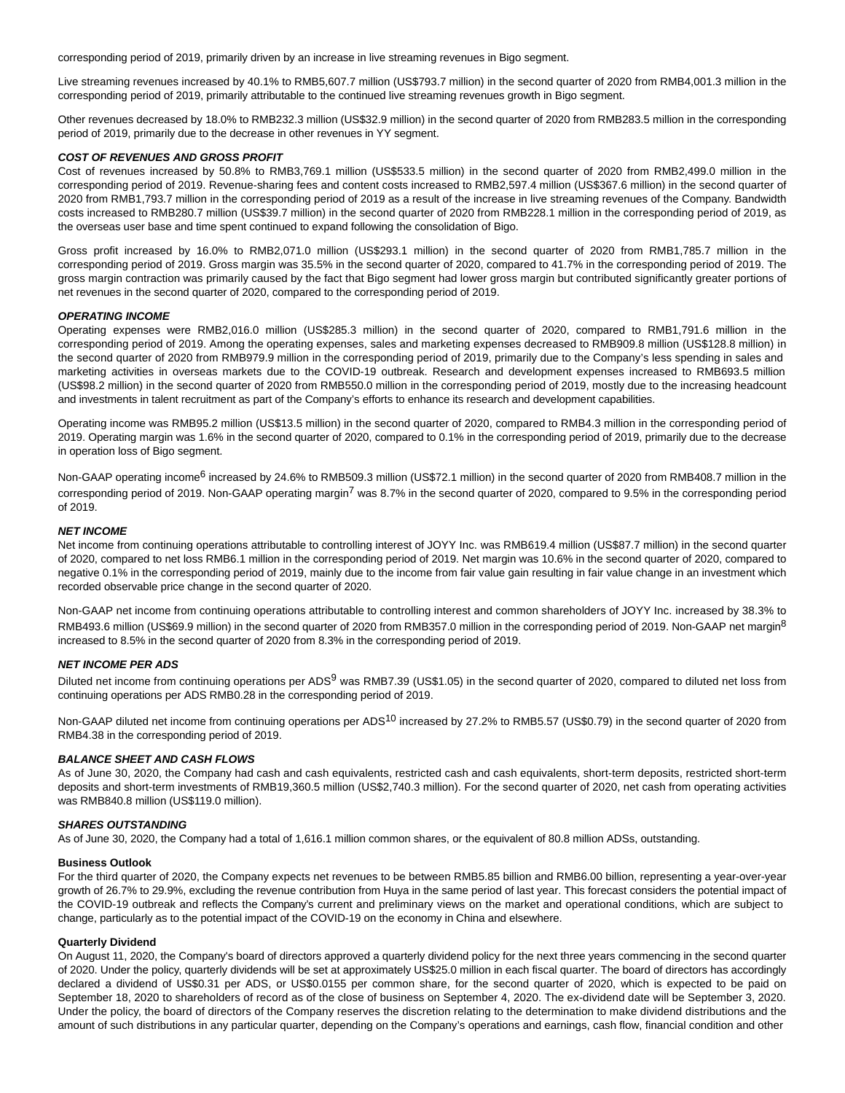corresponding period of 2019, primarily driven by an increase in live streaming revenues in Bigo segment.

Live streaming revenues increased by 40.1% to RMB5,607.7 million (US\$793.7 million) in the second quarter of 2020 from RMB4,001.3 million in the corresponding period of 2019, primarily attributable to the continued live streaming revenues growth in Bigo segment.

Other revenues decreased by 18.0% to RMB232.3 million (US\$32.9 million) in the second quarter of 2020 from RMB283.5 million in the corresponding period of 2019, primarily due to the decrease in other revenues in YY segment.

#### **COST OF REVENUES AND GROSS PROFIT**

Cost of revenues increased by 50.8% to RMB3,769.1 million (US\$533.5 million) in the second quarter of 2020 from RMB2,499.0 million in the corresponding period of 2019. Revenue-sharing fees and content costs increased to RMB2,597.4 million (US\$367.6 million) in the second quarter of 2020 from RMB1,793.7 million in the corresponding period of 2019 as a result of the increase in live streaming revenues of the Company. Bandwidth costs increased to RMB280.7 million (US\$39.7 million) in the second quarter of 2020 from RMB228.1 million in the corresponding period of 2019, as the overseas user base and time spent continued to expand following the consolidation of Bigo.

Gross profit increased by 16.0% to RMB2,071.0 million (US\$293.1 million) in the second quarter of 2020 from RMB1,785.7 million in the corresponding period of 2019. Gross margin was 35.5% in the second quarter of 2020, compared to 41.7% in the corresponding period of 2019. The gross margin contraction was primarily caused by the fact that Bigo segment had lower gross margin but contributed significantly greater portions of net revenues in the second quarter of 2020, compared to the corresponding period of 2019.

#### **OPERATING INCOME**

Operating expenses were RMB2,016.0 million (US\$285.3 million) in the second quarter of 2020, compared to RMB1,791.6 million in the corresponding period of 2019. Among the operating expenses, sales and marketing expenses decreased to RMB909.8 million (US\$128.8 million) in the second quarter of 2020 from RMB979.9 million in the corresponding period of 2019, primarily due to the Company's less spending in sales and marketing activities in overseas markets due to the COVID-19 outbreak. Research and development expenses increased to RMB693.5 million (US\$98.2 million) in the second quarter of 2020 from RMB550.0 million in the corresponding period of 2019, mostly due to the increasing headcount and investments in talent recruitment as part of the Company's efforts to enhance its research and development capabilities.

Operating income was RMB95.2 million (US\$13.5 million) in the second quarter of 2020, compared to RMB4.3 million in the corresponding period of 2019. Operating margin was 1.6% in the second quarter of 2020, compared to 0.1% in the corresponding period of 2019, primarily due to the decrease in operation loss of Bigo segment.

Non-GAAP operating income<sup>6</sup> increased by 24.6% to RMB509.3 million (US\$72.1 million) in the second quarter of 2020 from RMB408.7 million in the corresponding period of 2019. Non-GAAP operating margin7 was 8.7% in the second quarter of 2020, compared to 9.5% in the corresponding period of 2019.

### **NET INCOME**

Net income from continuing operations attributable to controlling interest of JOYY Inc. was RMB619.4 million (US\$87.7 million) in the second quarter of 2020, compared to net loss RMB6.1 million in the corresponding period of 2019. Net margin was 10.6% in the second quarter of 2020, compared to negative 0.1% in the corresponding period of 2019, mainly due to the income from fair value gain resulting in fair value change in an investment which recorded observable price change in the second quarter of 2020.

Non-GAAP net income from continuing operations attributable to controlling interest and common shareholders of JOYY Inc. increased by 38.3% to RMB493.6 million (US\$69.9 million) in the second quarter of 2020 from RMB357.0 million in the corresponding period of 2019. Non-GAAP net margin<sup>8</sup> increased to 8.5% in the second quarter of 2020 from 8.3% in the corresponding period of 2019.

### **NET INCOME PER ADS**

Diluted net income from continuing operations per ADS<sup>9</sup> was RMB7.39 (US\$1.05) in the second quarter of 2020, compared to diluted net loss from continuing operations per ADS RMB0.28 in the corresponding period of 2019.

Non-GAAP diluted net income from continuing operations per ADS<sup>10</sup> increased by 27.2% to RMB5.57 (US\$0.79) in the second quarter of 2020 from RMB4.38 in the corresponding period of 2019.

#### **BALANCE SHEET AND CASH FLOWS**

As of June 30, 2020, the Company had cash and cash equivalents, restricted cash and cash equivalents, short-term deposits, restricted short-term deposits and short-term investments of RMB19,360.5 million (US\$2,740.3 million). For the second quarter of 2020, net cash from operating activities was RMB840.8 million (US\$119.0 million).

#### **SHARES OUTSTANDING**

As of June 30, 2020, the Company had a total of 1,616.1 million common shares, or the equivalent of 80.8 million ADSs, outstanding.

#### **Business Outlook**

For the third quarter of 2020, the Company expects net revenues to be between RMB5.85 billion and RMB6.00 billion, representing a year-over-year growth of 26.7% to 29.9%, excluding the revenue contribution from Huya in the same period of last year. This forecast considers the potential impact of the COVID-19 outbreak and reflects the Company's current and preliminary views on the market and operational conditions, which are subject to change, particularly as to the potential impact of the COVID-19 on the economy in China and elsewhere.

#### **Quarterly Dividend**

On August 11, 2020, the Company's board of directors approved a quarterly dividend policy for the next three years commencing in the second quarter of 2020. Under the policy, quarterly dividends will be set at approximately US\$25.0 million in each fiscal quarter. The board of directors has accordingly declared a dividend of US\$0.31 per ADS, or US\$0.0155 per common share, for the second quarter of 2020, which is expected to be paid on September 18, 2020 to shareholders of record as of the close of business on September 4, 2020. The ex-dividend date will be September 3, 2020. Under the policy, the board of directors of the Company reserves the discretion relating to the determination to make dividend distributions and the amount of such distributions in any particular quarter, depending on the Company's operations and earnings, cash flow, financial condition and other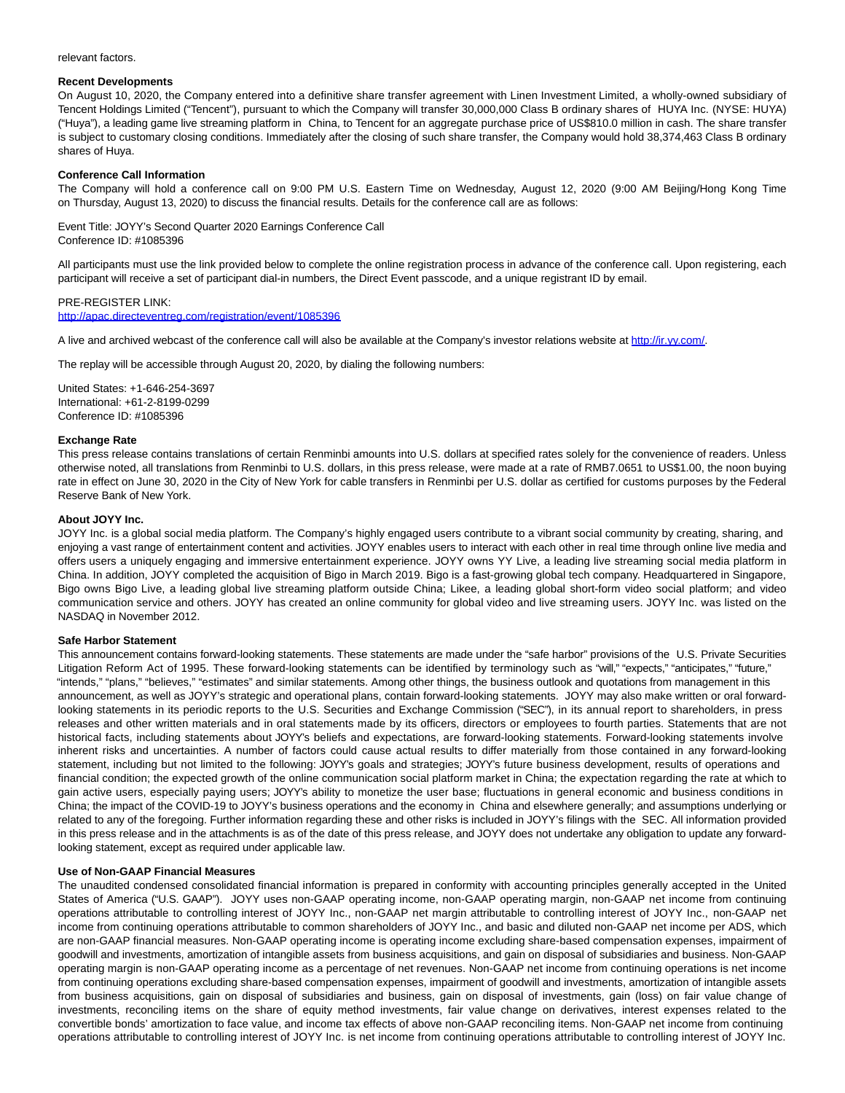#### relevant factors.

## **Recent Developments**

On August 10, 2020, the Company entered into a definitive share transfer agreement with Linen Investment Limited, a wholly-owned subsidiary of Tencent Holdings Limited ("Tencent"), pursuant to which the Company will transfer 30,000,000 Class B ordinary shares of HUYA Inc. (NYSE: HUYA) ("Huya"), a leading game live streaming platform in China, to Tencent for an aggregate purchase price of US\$810.0 million in cash. The share transfer is subject to customary closing conditions. Immediately after the closing of such share transfer, the Company would hold 38,374,463 Class B ordinary shares of Huya.

#### **Conference Call Information**

The Company will hold a conference call on 9:00 PM U.S. Eastern Time on Wednesday, August 12, 2020 (9:00 AM Beijing/Hong Kong Time on Thursday, August 13, 2020) to discuss the financial results. Details for the conference call are as follows:

Event Title: JOYY's Second Quarter 2020 Earnings Conference Call Conference ID: #1085396

All participants must use the link provided below to complete the online registration process in advance of the conference call. Upon registering, each participant will receive a set of participant dial-in numbers, the Direct Event passcode, and a unique registrant ID by email.

PRE-REGISTER LINK: [http://apac.directeventreg.com/registration/event/1085396](https://www.globenewswire.com/Tracker?data=X2m-wrrFMrX8EIUbJgYLBqfJi-HTWjxpcuygmrKVJLMWgPHNZVDHmJw8KUZD_MvhVmDXMITQ5zd6lMLTucDbhidmaM7V4303Osylhf0HnwZpIKHiN7WvfDFpMVpkMBaBYLQ7wZLU3Z3vugzI56gL_NYmr4ZJrYsjumVoTcgnBvVOHIqvo7qtZgcGPiq0Z2WU)

A live and archived webcast of the conference call will also be available at the Company's investor relations website at [http://ir.yy.com/.](https://www.globenewswire.com/Tracker?data=X2m-wrrFMrX8EIUbJgYLBnXLB0nLpZO3xFUzZg-21tQO6FmU9ioiTaztHwJMqtKJ0t7-uq97QSsp6dr-1PWRzQ==)

The replay will be accessible through August 20, 2020, by dialing the following numbers:

United States: +1-646-254-3697 International: +61-2-8199-0299 Conference ID: #1085396

#### **Exchange Rate**

This press release contains translations of certain Renminbi amounts into U.S. dollars at specified rates solely for the convenience of readers. Unless otherwise noted, all translations from Renminbi to U.S. dollars, in this press release, were made at a rate of RMB7.0651 to US\$1.00, the noon buying rate in effect on June 30, 2020 in the City of New York for cable transfers in Renminbi per U.S. dollar as certified for customs purposes by the Federal Reserve Bank of New York.

#### **About JOYY Inc.**

JOYY Inc. is a global social media platform. The Company's highly engaged users contribute to a vibrant social community by creating, sharing, and enjoying a vast range of entertainment content and activities. JOYY enables users to interact with each other in real time through online live media and offers users a uniquely engaging and immersive entertainment experience. JOYY owns YY Live, a leading live streaming social media platform in China. In addition, JOYY completed the acquisition of Bigo in March 2019. Bigo is a fast-growing global tech company. Headquartered in Singapore, Bigo owns Bigo Live, a leading global live streaming platform outside China; Likee, a leading global short-form video social platform; and video communication service and others. JOYY has created an online community for global video and live streaming users. JOYY Inc. was listed on the NASDAQ in November 2012.

#### **Safe Harbor Statement**

This announcement contains forward-looking statements. These statements are made under the "safe harbor" provisions of the U.S. Private Securities Litigation Reform Act of 1995. These forward-looking statements can be identified by terminology such as "will," "expects," "anticipates," "future," "intends," "plans," "believes," "estimates" and similar statements. Among other things, the business outlook and quotations from management in this announcement, as well as JOYY's strategic and operational plans, contain forward-looking statements. JOYY may also make written or oral forwardlooking statements in its periodic reports to the U.S. Securities and Exchange Commission ("SEC"), in its annual report to shareholders, in press releases and other written materials and in oral statements made by its officers, directors or employees to fourth parties. Statements that are not historical facts, including statements about JOYY's beliefs and expectations, are forward-looking statements. Forward-looking statements involve inherent risks and uncertainties. A number of factors could cause actual results to differ materially from those contained in any forward-looking statement, including but not limited to the following: JOYY's goals and strategies; JOYY's future business development, results of operations and financial condition; the expected growth of the online communication social platform market in China; the expectation regarding the rate at which to gain active users, especially paying users; JOYY's ability to monetize the user base; fluctuations in general economic and business conditions in China; the impact of the COVID-19 to JOYY's business operations and the economy in China and elsewhere generally; and assumptions underlying or related to any of the foregoing. Further information regarding these and other risks is included in JOYY's filings with the SEC. All information provided in this press release and in the attachments is as of the date of this press release, and JOYY does not undertake any obligation to update any forwardlooking statement, except as required under applicable law.

## **Use of Non-GAAP Financial Measures**

The unaudited condensed consolidated financial information is prepared in conformity with accounting principles generally accepted in the United States of America ("U.S. GAAP"). JOYY uses non-GAAP operating income, non-GAAP operating margin, non-GAAP net income from continuing operations attributable to controlling interest of JOYY Inc., non-GAAP net margin attributable to controlling interest of JOYY Inc., non-GAAP net income from continuing operations attributable to common shareholders of JOYY Inc., and basic and diluted non-GAAP net income per ADS, which are non-GAAP financial measures. Non-GAAP operating income is operating income excluding share-based compensation expenses, impairment of goodwill and investments, amortization of intangible assets from business acquisitions, and gain on disposal of subsidiaries and business. Non-GAAP operating margin is non-GAAP operating income as a percentage of net revenues. Non-GAAP net income from continuing operations is net income from continuing operations excluding share-based compensation expenses, impairment of goodwill and investments, amortization of intangible assets from business acquisitions, gain on disposal of subsidiaries and business, gain on disposal of investments, gain (loss) on fair value change of investments, reconciling items on the share of equity method investments, fair value change on derivatives, interest expenses related to the convertible bonds' amortization to face value, and income tax effects of above non-GAAP reconciling items. Non-GAAP net income from continuing operations attributable to controlling interest of JOYY Inc. is net income from continuing operations attributable to controlling interest of JOYY Inc.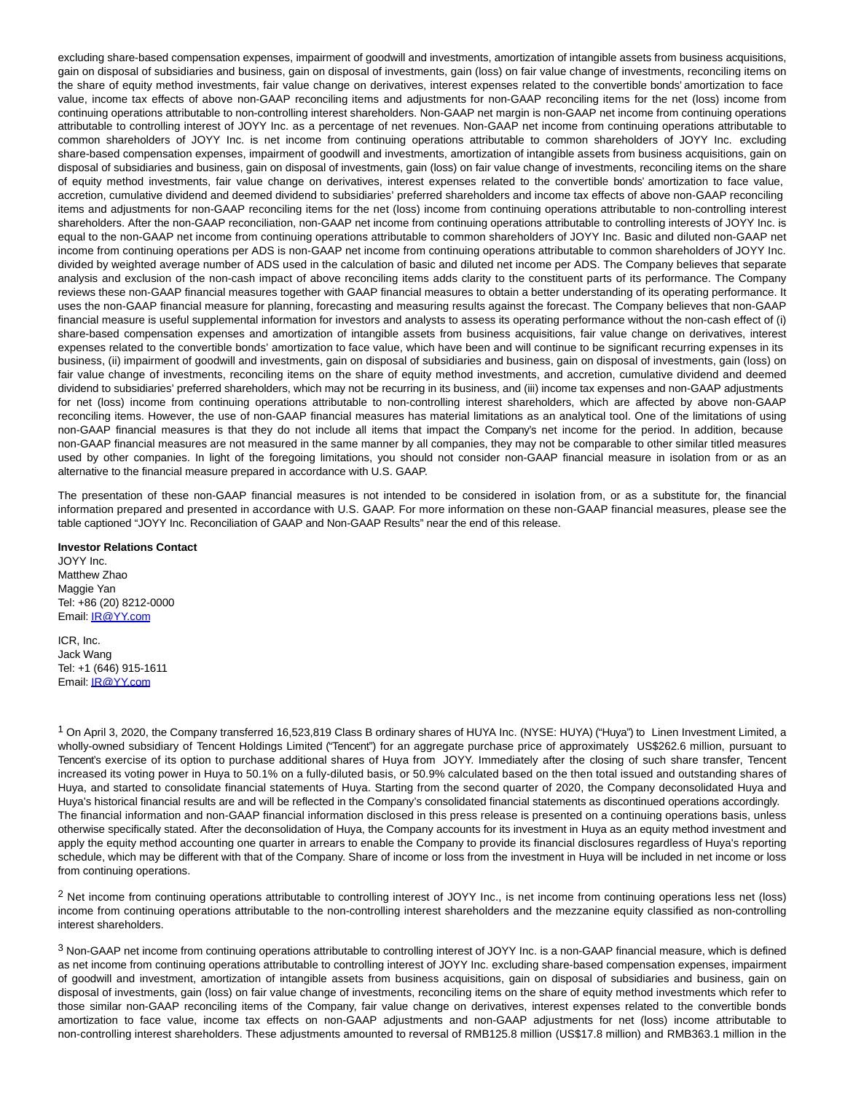excluding share-based compensation expenses, impairment of goodwill and investments, amortization of intangible assets from business acquisitions, gain on disposal of subsidiaries and business, gain on disposal of investments, gain (loss) on fair value change of investments, reconciling items on the share of equity method investments, fair value change on derivatives, interest expenses related to the convertible bonds' amortization to face value, income tax effects of above non-GAAP reconciling items and adjustments for non-GAAP reconciling items for the net (loss) income from continuing operations attributable to non-controlling interest shareholders. Non-GAAP net margin is non-GAAP net income from continuing operations attributable to controlling interest of JOYY Inc. as a percentage of net revenues. Non-GAAP net income from continuing operations attributable to common shareholders of JOYY Inc. is net income from continuing operations attributable to common shareholders of JOYY Inc. excluding share-based compensation expenses, impairment of goodwill and investments, amortization of intangible assets from business acquisitions, gain on disposal of subsidiaries and business, gain on disposal of investments, gain (loss) on fair value change of investments, reconciling items on the share of equity method investments, fair value change on derivatives, interest expenses related to the convertible bonds' amortization to face value, accretion, cumulative dividend and deemed dividend to subsidiaries' preferred shareholders and income tax effects of above non-GAAP reconciling items and adjustments for non-GAAP reconciling items for the net (loss) income from continuing operations attributable to non-controlling interest shareholders. After the non-GAAP reconciliation, non-GAAP net income from continuing operations attributable to controlling interests of JOYY Inc. is equal to the non-GAAP net income from continuing operations attributable to common shareholders of JOYY Inc. Basic and diluted non-GAAP net income from continuing operations per ADS is non-GAAP net income from continuing operations attributable to common shareholders of JOYY Inc. divided by weighted average number of ADS used in the calculation of basic and diluted net income per ADS. The Company believes that separate analysis and exclusion of the non-cash impact of above reconciling items adds clarity to the constituent parts of its performance. The Company reviews these non-GAAP financial measures together with GAAP financial measures to obtain a better understanding of its operating performance. It uses the non-GAAP financial measure for planning, forecasting and measuring results against the forecast. The Company believes that non-GAAP financial measure is useful supplemental information for investors and analysts to assess its operating performance without the non-cash effect of (i) share-based compensation expenses and amortization of intangible assets from business acquisitions, fair value change on derivatives, interest expenses related to the convertible bonds' amortization to face value, which have been and will continue to be significant recurring expenses in its business, (ii) impairment of goodwill and investments, gain on disposal of subsidiaries and business, gain on disposal of investments, gain (loss) on fair value change of investments, reconciling items on the share of equity method investments, and accretion, cumulative dividend and deemed dividend to subsidiaries' preferred shareholders, which may not be recurring in its business, and (iii) income tax expenses and non-GAAP adjustments for net (loss) income from continuing operations attributable to non-controlling interest shareholders, which are affected by above non-GAAP reconciling items. However, the use of non-GAAP financial measures has material limitations as an analytical tool. One of the limitations of using non-GAAP financial measures is that they do not include all items that impact the Company's net income for the period. In addition, because non-GAAP financial measures are not measured in the same manner by all companies, they may not be comparable to other similar titled measures used by other companies. In light of the foregoing limitations, you should not consider non-GAAP financial measure in isolation from or as an alternative to the financial measure prepared in accordance with U.S. GAAP.

The presentation of these non-GAAP financial measures is not intended to be considered in isolation from, or as a substitute for, the financial information prepared and presented in accordance with U.S. GAAP. For more information on these non-GAAP financial measures, please see the table captioned "JOYY Inc. Reconciliation of GAAP and Non-GAAP Results" near the end of this release.

#### **Investor Relations Contact**

JOYY Inc. Matthew Zhao Maggie Yan Tel: +86 (20) 8212-0000 Email: **IR@YY.com** 

ICR, Inc. Jack Wang Tel: +1 (646) 915-1611 Email[: IR@YY.com](https://www.globenewswire.com/Tracker?data=Md9ZfF5WRg12y4NnQIs8HK8Fr0oxYTtWh3vdYKAZ4M3wf5WFcBB2vOANgnEJ6sn4)

 $1$  On April 3, 2020, the Company transferred 16,523,819 Class B ordinary shares of HUYA Inc. (NYSE: HUYA) ("Huya") to Linen Investment Limited, a wholly-owned subsidiary of Tencent Holdings Limited ("Tencent") for an aggregate purchase price of approximately US\$262.6 million, pursuant to Tencent's exercise of its option to purchase additional shares of Huya from JOYY. Immediately after the closing of such share transfer, Tencent increased its voting power in Huya to 50.1% on a fully-diluted basis, or 50.9% calculated based on the then total issued and outstanding shares of Huya, and started to consolidate financial statements of Huya. Starting from the second quarter of 2020, the Company deconsolidated Huya and Huya's historical financial results are and will be reflected in the Company's consolidated financial statements as discontinued operations accordingly. The financial information and non-GAAP financial information disclosed in this press release is presented on a continuing operations basis, unless otherwise specifically stated. After the deconsolidation of Huya, the Company accounts for its investment in Huya as an equity method investment and apply the equity method accounting one quarter in arrears to enable the Company to provide its financial disclosures regardless of Huya's reporting schedule, which may be different with that of the Company. Share of income or loss from the investment in Huya will be included in net income or loss from continuing operations.

<sup>2</sup> Net income from continuing operations attributable to controlling interest of JOYY Inc., is net income from continuing operations less net (loss) income from continuing operations attributable to the non-controlling interest shareholders and the mezzanine equity classified as non-controlling interest shareholders.

<sup>3</sup> Non-GAAP net income from continuing operations attributable to controlling interest of JOYY Inc. is a non-GAAP financial measure, which is defined as net income from continuing operations attributable to controlling interest of JOYY Inc. excluding share-based compensation expenses, impairment of goodwill and investment, amortization of intangible assets from business acquisitions, gain on disposal of subsidiaries and business, gain on disposal of investments, gain (loss) on fair value change of investments, reconciling items on the share of equity method investments which refer to those similar non-GAAP reconciling items of the Company, fair value change on derivatives, interest expenses related to the convertible bonds amortization to face value, income tax effects on non-GAAP adjustments and non-GAAP adjustments for net (loss) income attributable to non-controlling interest shareholders. These adjustments amounted to reversal of RMB125.8 million (US\$17.8 million) and RMB363.1 million in the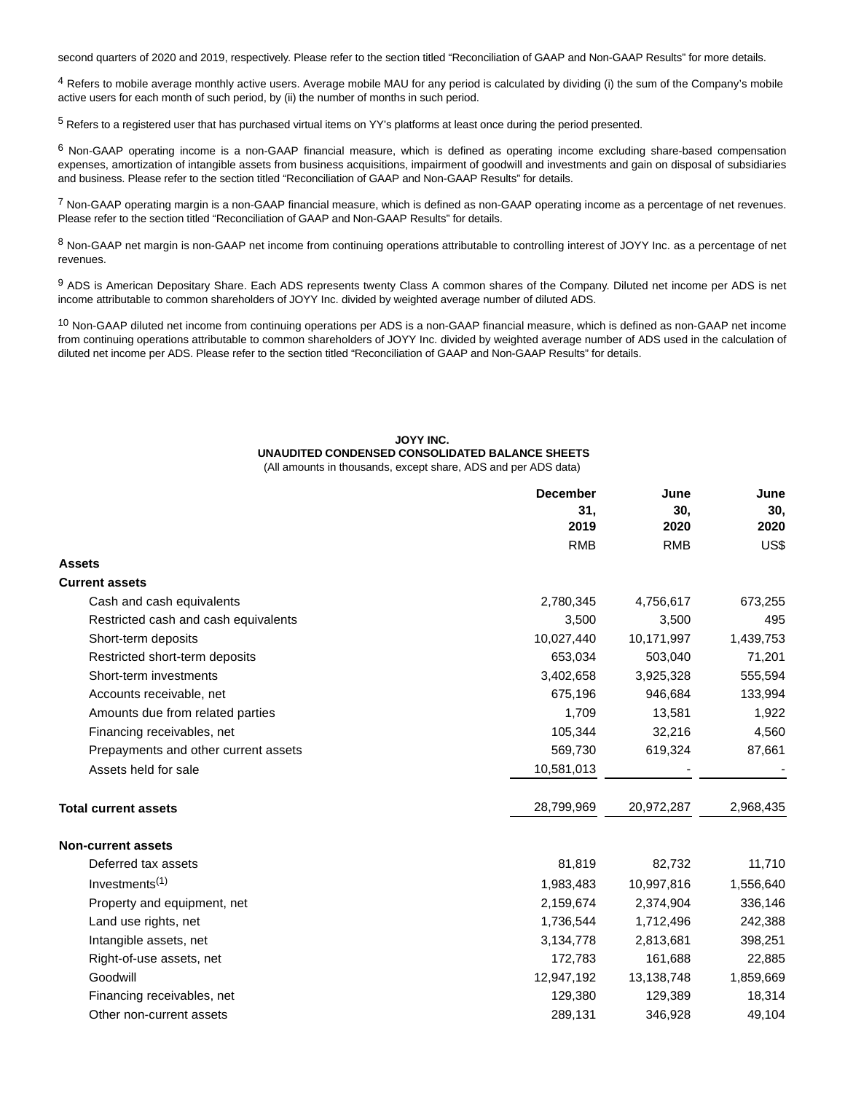second quarters of 2020 and 2019, respectively. Please refer to the section titled "Reconciliation of GAAP and Non-GAAP Results" for more details.

4 Refers to mobile average monthly active users. Average mobile MAU for any period is calculated by dividing (i) the sum of the Company's mobile active users for each month of such period, by (ii) the number of months in such period.

<sup>5</sup> Refers to a registered user that has purchased virtual items on YY's platforms at least once during the period presented.

<sup>6</sup> Non-GAAP operating income is a non-GAAP financial measure, which is defined as operating income excluding share-based compensation expenses, amortization of intangible assets from business acquisitions, impairment of goodwill and investments and gain on disposal of subsidiaries and business. Please refer to the section titled "Reconciliation of GAAP and Non-GAAP Results" for details.

 $^7$  Non-GAAP operating margin is a non-GAAP financial measure, which is defined as non-GAAP operating income as a percentage of net revenues. Please refer to the section titled "Reconciliation of GAAP and Non-GAAP Results" for details.

8 Non-GAAP net margin is non-GAAP net income from continuing operations attributable to controlling interest of JOYY Inc. as a percentage of net revenues.

9 ADS is American Depositary Share. Each ADS represents twenty Class A common shares of the Company. Diluted net income per ADS is net income attributable to common shareholders of JOYY Inc. divided by weighted average number of diluted ADS.

<sup>10</sup> Non-GAAP diluted net income from continuing operations per ADS is a non-GAAP financial measure, which is defined as non-GAAP net income from continuing operations attributable to common shareholders of JOYY Inc. divided by weighted average number of ADS used in the calculation of diluted net income per ADS. Please refer to the section titled "Reconciliation of GAAP and Non-GAAP Results" for details.

#### **JOYY INC. UNAUDITED CONDENSED CONSOLIDATED BALANCE SHEETS** (All amounts in thousands, except share, ADS and per ADS data)

|                                      | <b>December</b><br>31. | June<br>30, | June<br>30, |
|--------------------------------------|------------------------|-------------|-------------|
|                                      | 2019                   | 2020        | 2020        |
|                                      | <b>RMB</b>             | <b>RMB</b>  | US\$        |
| <b>Assets</b>                        |                        |             |             |
| <b>Current assets</b>                |                        |             |             |
| Cash and cash equivalents            | 2,780,345              | 4,756,617   | 673,255     |
| Restricted cash and cash equivalents | 3,500                  | 3,500       | 495         |
| Short-term deposits                  | 10,027,440             | 10,171,997  | 1,439,753   |
| Restricted short-term deposits       | 653,034                | 503,040     | 71,201      |
| Short-term investments               | 3,402,658              | 3,925,328   | 555,594     |
| Accounts receivable, net             | 675,196                | 946,684     | 133,994     |
| Amounts due from related parties     | 1,709                  | 13,581      | 1,922       |
| Financing receivables, net           | 105,344                | 32,216      | 4,560       |
| Prepayments and other current assets | 569,730                | 619,324     | 87,661      |
| Assets held for sale                 | 10,581,013             |             |             |
| <b>Total current assets</b>          | 28,799,969             | 20,972,287  | 2,968,435   |
| <b>Non-current assets</b>            |                        |             |             |
| Deferred tax assets                  | 81,819                 | 82,732      | 11,710      |
| Investments $(1)$                    | 1,983,483              | 10,997,816  | 1,556,640   |
| Property and equipment, net          | 2,159,674              | 2,374,904   | 336,146     |
| Land use rights, net                 | 1,736,544              | 1,712,496   | 242,388     |
| Intangible assets, net               | 3,134,778              | 2,813,681   | 398,251     |
| Right-of-use assets, net             | 172,783                | 161,688     | 22,885      |
| Goodwill                             | 12,947,192             | 13,138,748  | 1,859,669   |
| Financing receivables, net           | 129,380                | 129,389     | 18,314      |
| Other non-current assets             | 289,131                | 346,928     | 49,104      |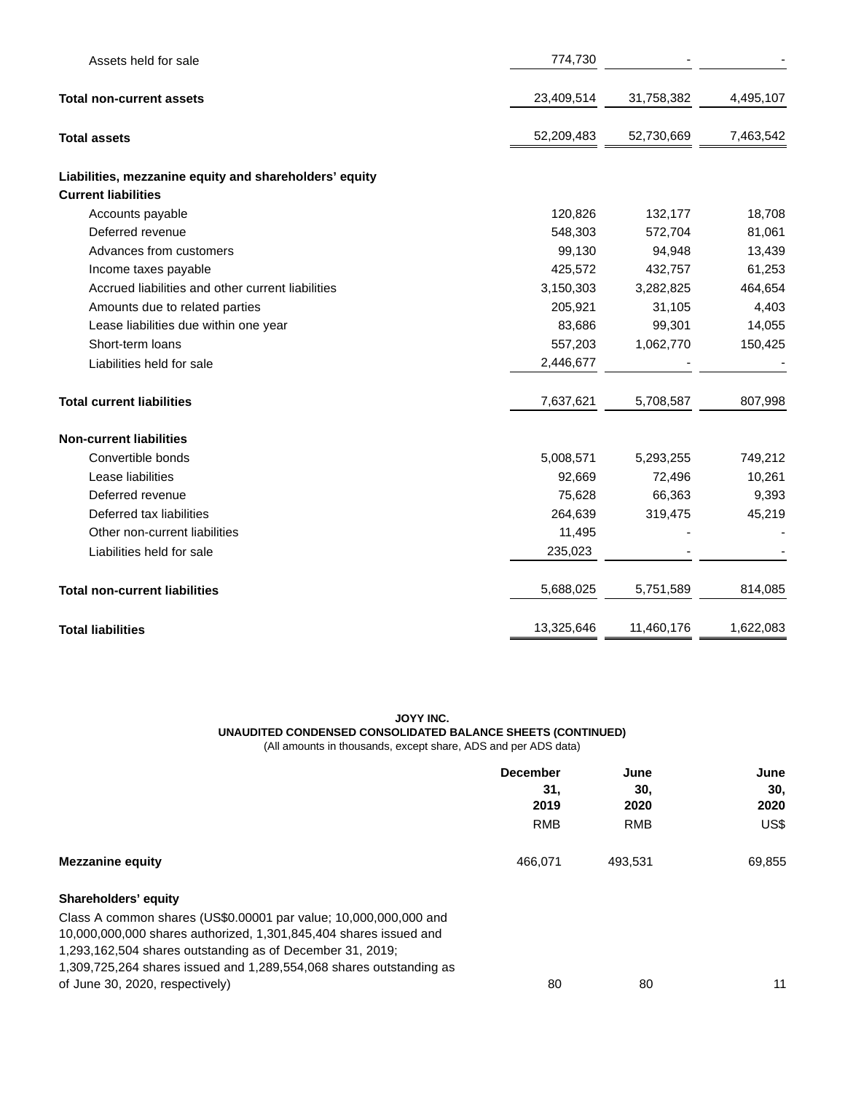| 774,730    |            |           |
|------------|------------|-----------|
| 23,409,514 | 31,758,382 | 4,495,107 |
| 52,209,483 | 52,730,669 | 7,463,542 |
|            |            |           |
|            |            |           |
| 120,826    | 132,177    | 18,708    |
| 548,303    | 572,704    | 81,061    |
| 99,130     | 94,948     | 13,439    |
| 425,572    | 432,757    | 61,253    |
| 3,150,303  | 3,282,825  | 464,654   |
| 205,921    | 31,105     | 4,403     |
| 83,686     | 99,301     | 14,055    |
| 557,203    | 1,062,770  | 150,425   |
| 2,446,677  |            |           |
| 7,637,621  | 5,708,587  | 807,998   |
|            |            |           |
| 5,008,571  | 5,293,255  | 749,212   |
| 92,669     | 72,496     | 10,261    |
| 75,628     | 66,363     | 9,393     |
| 264,639    | 319,475    | 45,219    |
| 11,495     |            |           |
| 235,023    |            |           |
| 5,688,025  | 5,751,589  | 814,085   |
| 13,325,646 | 11,460,176 | 1,622,083 |
|            |            |           |

## **JOYY INC. UNAUDITED CONDENSED CONSOLIDATED BALANCE SHEETS (CONTINUED)** (All amounts in thousands, except share, ADS and per ADS data)

|                                                                     | <b>December</b><br>31, | June<br>30. | June<br>30. |
|---------------------------------------------------------------------|------------------------|-------------|-------------|
|                                                                     | 2019                   | 2020        | 2020        |
|                                                                     | <b>RMB</b>             | <b>RMB</b>  | US\$        |
| <b>Mezzanine equity</b>                                             | 466.071                | 493,531     | 69,855      |
| Shareholders' equity                                                |                        |             |             |
| Class A common shares (US\$0.00001 par value; 10,000,000,000 and    |                        |             |             |
| 10,000,000,000 shares authorized, 1,301,845,404 shares issued and   |                        |             |             |
| $1,293,162,504$ shares outstanding as of December 31, 2019;         |                        |             |             |
| 1,309,725,264 shares issued and 1,289,554,068 shares outstanding as |                        |             |             |
| of June 30, 2020, respectively)                                     | 80                     | 80          | 11          |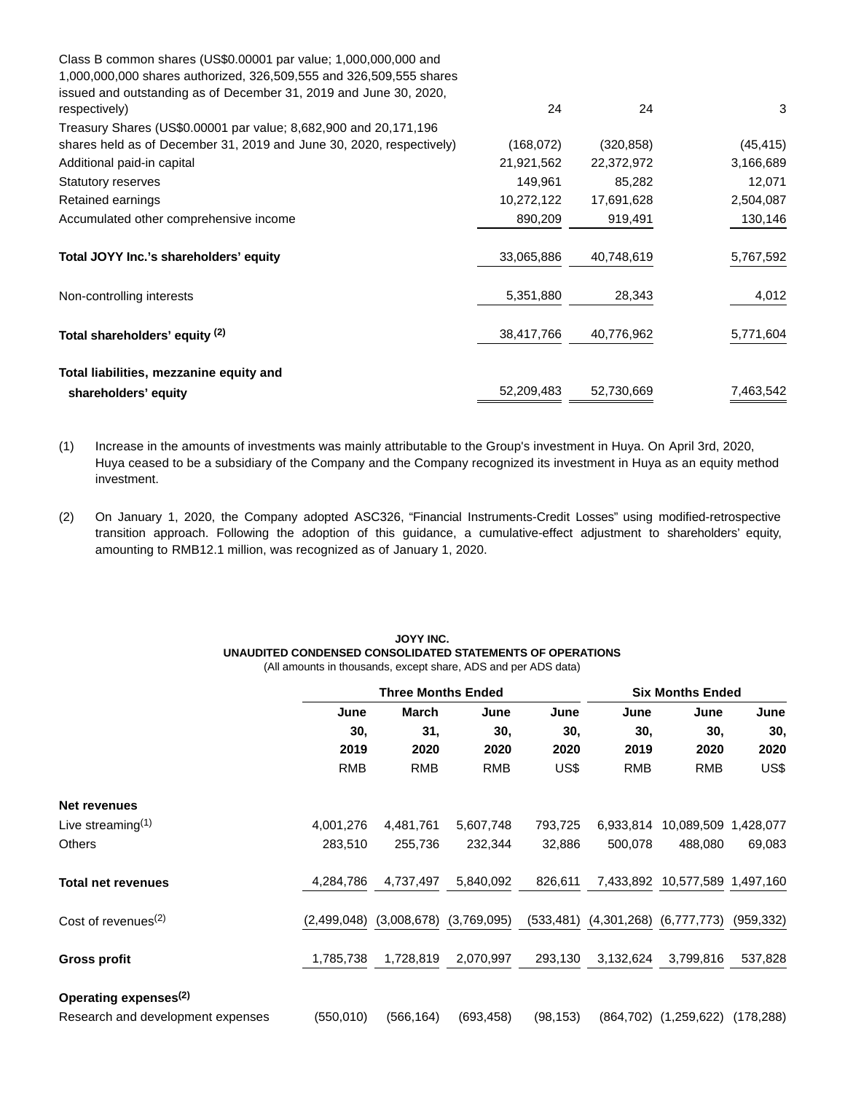| Class B common shares (US\$0.00001 par value; 1,000,000,000 and      |            |            |           |
|----------------------------------------------------------------------|------------|------------|-----------|
| 1,000,000,000 shares authorized, 326,509,555 and 326,509,555 shares  |            |            |           |
| issued and outstanding as of December 31, 2019 and June 30, 2020,    |            |            |           |
| respectively)                                                        | 24         | 24         | 3         |
| Treasury Shares (US\$0.00001 par value; 8,682,900 and 20,171,196     |            |            |           |
| shares held as of December 31, 2019 and June 30, 2020, respectively) | (168,072)  | (320, 858) | (45, 415) |
| Additional paid-in capital                                           | 21,921,562 | 22,372,972 | 3,166,689 |
| <b>Statutory reserves</b>                                            | 149,961    | 85,282     | 12,071    |
| Retained earnings                                                    | 10,272,122 | 17,691,628 | 2,504,087 |
| Accumulated other comprehensive income                               | 890,209    | 919,491    | 130,146   |
| Total JOYY Inc.'s shareholders' equity                               | 33,065,886 | 40,748,619 | 5,767,592 |
| Non-controlling interests                                            | 5,351,880  | 28,343     | 4,012     |
| Total shareholders' equity (2)                                       | 38,417,766 | 40,776,962 | 5,771,604 |
| Total liabilities, mezzanine equity and                              |            |            |           |
| shareholders' equity                                                 | 52,209,483 | 52,730,669 | 7,463,542 |

(1) Increase in the amounts of investments was mainly attributable to the Group's investment in Huya. On April 3rd, 2020, Huya ceased to be a subsidiary of the Company and the Company recognized its investment in Huya as an equity method investment.

(2) On January 1, 2020, the Company adopted ASC326, "Financial Instruments-Credit Losses" using modified-retrospective transition approach. Following the adoption of this guidance, a cumulative-effect adjustment to shareholders' equity, amounting to RMB12.1 million, was recognized as of January 1, 2020.

## **JOYY INC. UNAUDITED CONDENSED CONSOLIDATED STATEMENTS OF OPERATIONS** (All amounts in thousands, except share, ADS and per ADS data)

|                                   |             |             | <b>Six Months Ended</b> |            |             |             |            |
|-----------------------------------|-------------|-------------|-------------------------|------------|-------------|-------------|------------|
|                                   | June        | March       | June                    | June       |             | June        | June       |
|                                   | 30.         | 31,         | 30,                     | 30,        | 30,         | 30,         | 30,        |
|                                   | 2019        | 2020        | 2020                    | 2020       | 2019        | 2020        | 2020       |
|                                   | <b>RMB</b>  | <b>RMB</b>  | <b>RMB</b>              | US\$       | <b>RMB</b>  | <b>RMB</b>  | US\$       |
| Net revenues                      |             |             |                         |            |             |             |            |
| Live streaming $(1)$              | 4,001,276   | 4,481,761   | 5,607,748               | 793,725    | 6,933,814   | 10,089,509  | 1,428,077  |
| <b>Others</b>                     | 283,510     | 255,736     | 232,344                 | 32,886     | 500,078     | 488,080     | 69,083     |
| <b>Total net revenues</b>         | 4,284,786   | 4,737,497   | 5,840,092               | 826,611    | 7,433,892   | 10,577,589  | 1,497,160  |
| Cost of revenues <sup>(2)</sup>   | (2,499,048) | (3,008,678) | (3,769,095)             | (533, 481) | (4,301,268) | (6,777,773) | (959, 332) |
| Gross profit                      | 1,785,738   | 1,728,819   | 2,070,997               | 293,130    | 3,132,624   | 3,799,816   | 537,828    |
| Operating expenses <sup>(2)</sup> |             |             |                         |            |             |             |            |
| Research and development expenses | (550, 010)  | (566, 164)  | (693, 458)              | (98, 153)  | (864, 702)  | (1,259,622) | (178,288)  |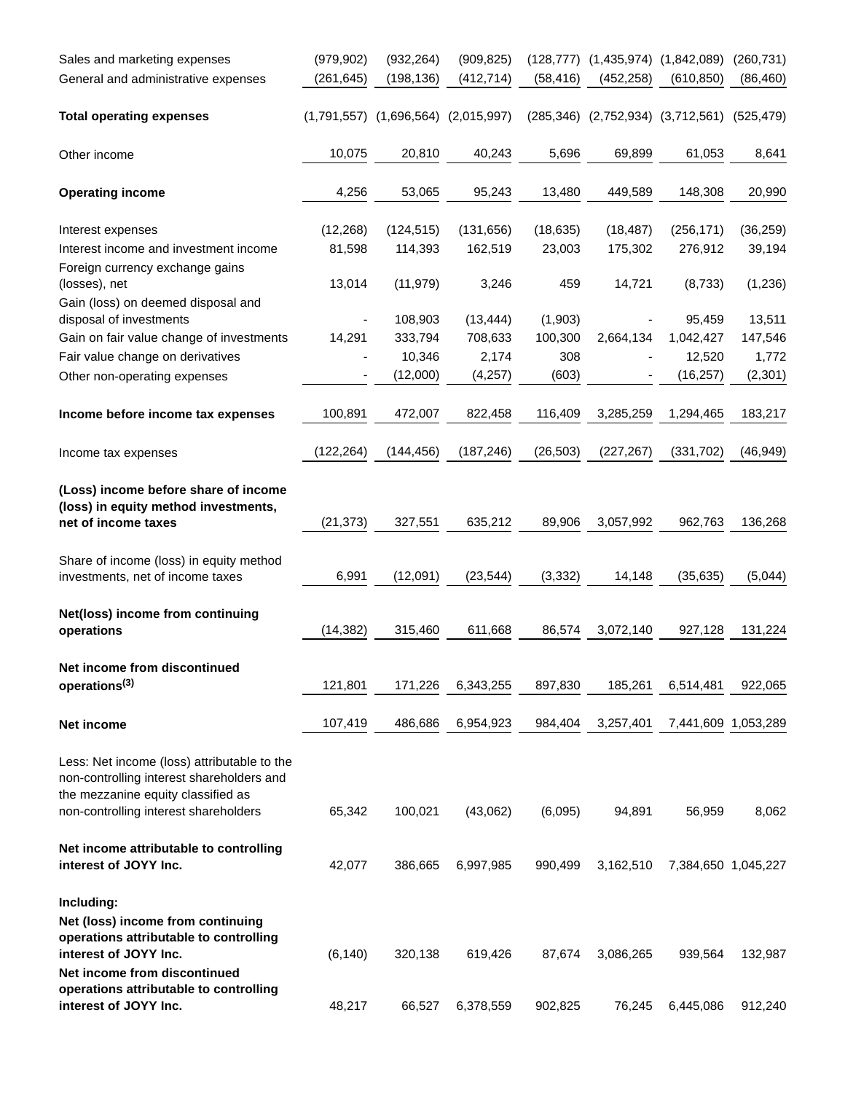| Sales and marketing expenses                                                                                                                                            | (979, 902) | (932, 264)                                | (909, 825) |           | $(128,777)$ $(1,435,974)$ $(1,842,089)$ |                                         | (260, 731)          |
|-------------------------------------------------------------------------------------------------------------------------------------------------------------------------|------------|-------------------------------------------|------------|-----------|-----------------------------------------|-----------------------------------------|---------------------|
| General and administrative expenses                                                                                                                                     | (261, 645) | (198, 136)                                | (412, 714) | (58, 416) | (452, 258)                              | (610, 850)                              | (86, 460)           |
| <b>Total operating expenses</b>                                                                                                                                         |            | $(1,791,557)$ $(1,696,564)$ $(2,015,997)$ |            |           |                                         | $(285,346)$ $(2,752,934)$ $(3,712,561)$ | (525,479)           |
| Other income                                                                                                                                                            | 10,075     | 20,810                                    | 40,243     | 5,696     | 69,899                                  | 61,053                                  | 8,641               |
| <b>Operating income</b>                                                                                                                                                 | 4,256      | 53,065                                    | 95,243     | 13,480    | 449,589                                 | 148,308                                 | 20,990              |
| Interest expenses                                                                                                                                                       | (12, 268)  | (124, 515)                                | (131, 656) | (18, 635) | (18, 487)                               | (256, 171)                              | (36, 259)           |
| Interest income and investment income<br>Foreign currency exchange gains                                                                                                | 81,598     | 114,393                                   | 162,519    | 23,003    | 175,302                                 | 276,912                                 | 39,194              |
| (losses), net<br>Gain (loss) on deemed disposal and                                                                                                                     | 13,014     | (11, 979)                                 | 3,246      | 459       | 14,721                                  | (8,733)                                 | (1, 236)            |
| disposal of investments                                                                                                                                                 |            | 108,903                                   | (13, 444)  | (1,903)   |                                         | 95,459                                  | 13,511              |
| Gain on fair value change of investments                                                                                                                                | 14,291     | 333,794                                   | 708,633    | 100,300   | 2,664,134                               | 1,042,427                               | 147,546             |
| Fair value change on derivatives                                                                                                                                        |            | 10,346                                    | 2,174      | 308       |                                         | 12,520                                  | 1,772               |
| Other non-operating expenses                                                                                                                                            |            | (12,000)                                  | (4,257)    | (603)     |                                         | (16, 257)                               | (2, 301)            |
| Income before income tax expenses                                                                                                                                       | 100,891    | 472,007                                   | 822,458    | 116,409   | 3,285,259                               | 1,294,465                               | 183,217             |
| Income tax expenses                                                                                                                                                     | (122, 264) | (144, 456)                                | (187, 246) | (26, 503) | (227, 267)                              | (331, 702)                              | (46, 949)           |
| (Loss) income before share of income<br>(loss) in equity method investments,<br>net of income taxes                                                                     | (21, 373)  | 327,551                                   | 635,212    | 89,906    | 3,057,992                               | 962,763                                 | 136,268             |
| Share of income (loss) in equity method<br>investments, net of income taxes                                                                                             | 6,991      | (12,091)                                  | (23, 544)  | (3, 332)  | 14,148                                  | (35, 635)                               | (5,044)             |
| Net(loss) income from continuing<br>operations                                                                                                                          | (14, 382)  | 315,460                                   | 611,668    | 86,574    | 3,072,140                               | 927,128                                 | 131,224             |
| Net income from discontinued<br>operations <sup>(3)</sup>                                                                                                               | 121,801    | 171,226                                   | 6,343,255  | 897,830   | 185,261                                 | 6,514,481                               | 922,065             |
| Net income                                                                                                                                                              | 107,419    | 486,686                                   | 6,954,923  | 984,404   | 3,257,401                               |                                         | 7,441,609 1,053,289 |
| Less: Net income (loss) attributable to the<br>non-controlling interest shareholders and<br>the mezzanine equity classified as<br>non-controlling interest shareholders | 65,342     | 100,021                                   | (43,062)   | (6,095)   | 94,891                                  | 56,959                                  | 8,062               |
| Net income attributable to controlling<br>interest of JOYY Inc.                                                                                                         | 42,077     | 386,665                                   | 6,997,985  | 990,499   | 3,162,510                               |                                         | 7,384,650 1,045,227 |
| Including:<br>Net (loss) income from continuing<br>operations attributable to controlling<br>interest of JOYY Inc.<br>Net income from discontinued                      | (6, 140)   | 320,138                                   | 619,426    | 87,674    | 3,086,265                               | 939,564                                 | 132,987             |
| operations attributable to controlling<br>interest of JOYY Inc.                                                                                                         | 48,217     | 66,527                                    | 6,378,559  | 902,825   | 76,245                                  | 6,445,086                               | 912,240             |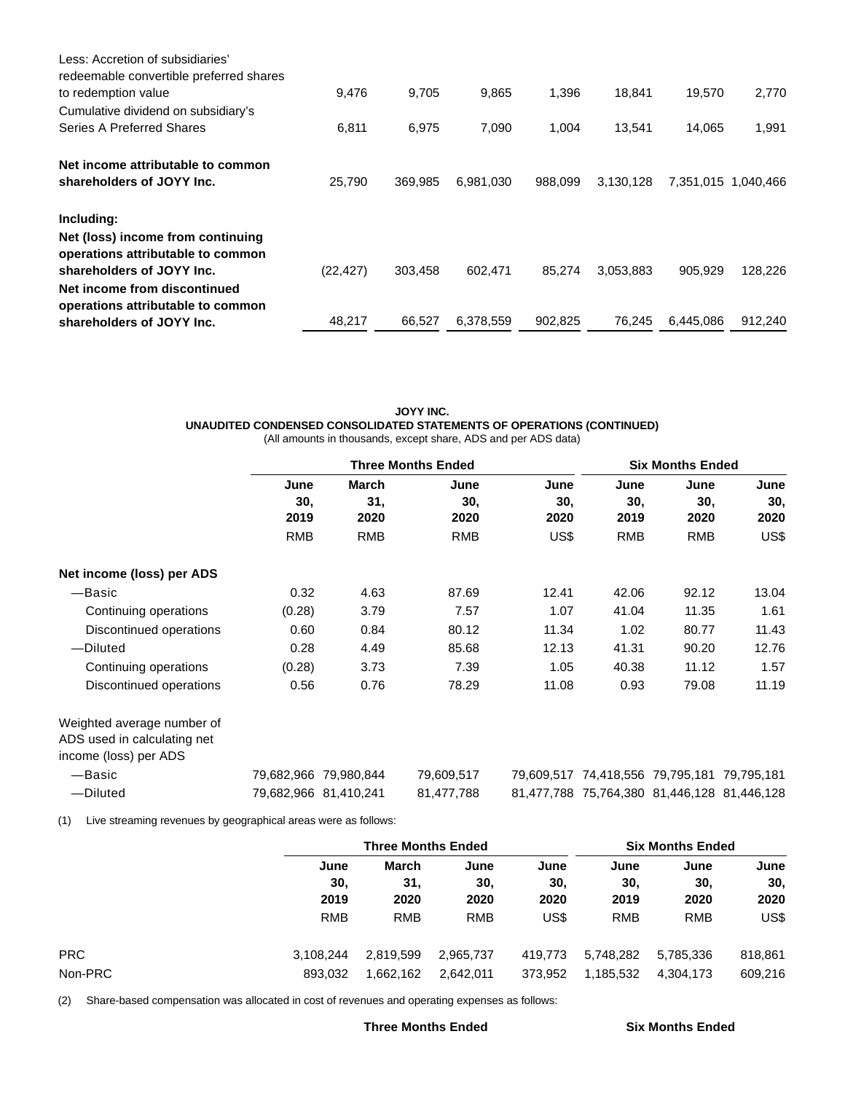| Less: Accretion of subsidiaries'                                                                    |           |         |           |         |           |           |                     |
|-----------------------------------------------------------------------------------------------------|-----------|---------|-----------|---------|-----------|-----------|---------------------|
| redeemable convertible preferred shares                                                             |           |         |           |         |           |           |                     |
| to redemption value                                                                                 | 9.476     | 9.705   | 9.865     | 1.396   | 18.841    | 19.570    | 2.770               |
| Cumulative dividend on subsidiary's                                                                 |           |         |           |         |           |           |                     |
| Series A Preferred Shares                                                                           | 6,811     | 6,975   | 7.090     | 1.004   | 13.541    | 14.065    | 1,991               |
| Net income attributable to common                                                                   |           |         |           |         |           |           |                     |
| shareholders of JOYY Inc.                                                                           | 25.790    | 369.985 | 6.981.030 | 988.099 | 3.130.128 |           | 7.351.015 1.040.466 |
| Including:                                                                                          |           |         |           |         |           |           |                     |
| Net (loss) income from continuing<br>operations attributable to common<br>shareholders of JOYY Inc. | (22, 427) | 303,458 | 602,471   | 85,274  | 3,053,883 | 905,929   | 128,226             |
| Net income from discontinued<br>operations attributable to common                                   |           |         |           |         |           |           |                     |
| shareholders of JOYY Inc.                                                                           | 48,217    | 66,527  | 6,378,559 | 902,825 | 76,245    | 6,445,086 | 912,240             |

**JOYY INC. UNAUDITED CONDENSED CONSOLIDATED STATEMENTS OF OPERATIONS (CONTINUED)** (All amounts in thousands, except share, ADS and per ADS data)

|                                                      |             | <b>Three Months Ended</b> |             | <b>Six Months Ended</b> |                                             |             |             |
|------------------------------------------------------|-------------|---------------------------|-------------|-------------------------|---------------------------------------------|-------------|-------------|
|                                                      | June<br>30, | March<br>31,              | June<br>30, | June<br>30,             | June<br>30,                                 | June<br>30, | June<br>30, |
|                                                      | 2019        | 2020                      | 2020        | 2020                    | 2019                                        | 2020        | 2020        |
|                                                      | <b>RMB</b>  | <b>RMB</b>                | <b>RMB</b>  | US\$                    | <b>RMB</b>                                  | <b>RMB</b>  | US\$        |
| Net income (loss) per ADS                            |             |                           |             |                         |                                             |             |             |
| -Basic                                               | 0.32        | 4.63                      | 87.69       | 12.41                   | 42.06                                       | 92.12       | 13.04       |
| Continuing operations                                | (0.28)      | 3.79                      | 7.57        | 1.07                    | 41.04                                       | 11.35       | 1.61        |
| Discontinued operations                              | 0.60        | 0.84                      | 80.12       | 11.34                   | 1.02                                        | 80.77       | 11.43       |
| -Diluted                                             | 0.28        | 4.49                      | 85.68       | 12.13                   | 41.31                                       | 90.20       | 12.76       |
| Continuing operations                                | (0.28)      | 3.73                      | 7.39        | 1.05                    | 40.38                                       | 11.12       | 1.57        |
| Discontinued operations                              | 0.56        | 0.76                      | 78.29       | 11.08                   | 0.93                                        | 79.08       | 11.19       |
| Weighted average number of                           |             |                           |             |                         |                                             |             |             |
| ADS used in calculating net<br>income (loss) per ADS |             |                           |             |                         |                                             |             |             |
| —Basic                                               |             | 79,682,966 79,980,844     | 79,609,517  |                         | 79,609,517 74,418,556 79,795,181 79,795,181 |             |             |
| -Diluted                                             |             | 79,682,966 81,410,241     | 81,477,788  |                         | 81,477,788 75,764,380 81,446,128 81,446,128 |             |             |

(1) Live streaming revenues by geographical areas were as follows:

|            |            | <b>Three Months Ended</b> |            |         |            | <b>Six Months Ended</b> |         |  |
|------------|------------|---------------------------|------------|---------|------------|-------------------------|---------|--|
|            | June       | March                     | June       | June    | June       | June                    | June    |  |
|            | 30.        | 31.                       | 30,        | 30.     | 30.        | 30.                     | 30,     |  |
|            | 2019       | 2020                      | 2020       | 2020    | 2019       | 2020                    | 2020    |  |
|            | <b>RMB</b> | <b>RMB</b>                | <b>RMB</b> | US\$    | <b>RMB</b> | <b>RMB</b>              | US\$    |  |
| <b>PRC</b> | 3.108.244  | 2,819,599                 | 2,965,737  | 419.773 | 5,748,282  | 5,785,336               | 818,861 |  |
| Non-PRC    | 893,032    | 1.662.162                 | 2.642.011  | 373.952 | 1,185,532  | 4,304,173               | 609,216 |  |

(2) Share-based compensation was allocated in cost of revenues and operating expenses as follows: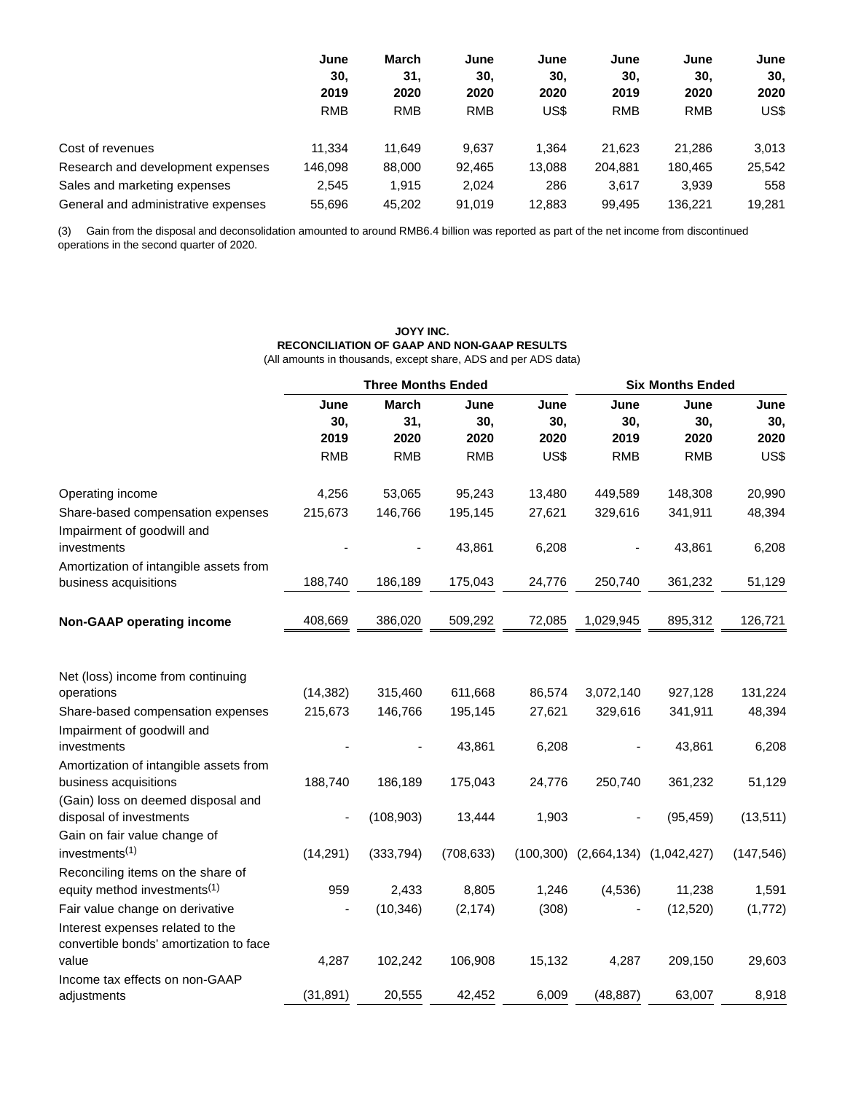|                                     | June<br>30.<br>2019 | <b>March</b><br>31,<br>2020 | June<br>30,<br>2020 | June<br>30.<br>2020 | June<br>30.<br>2019 | June<br>30.<br>2020 | June<br>30,<br>2020 |
|-------------------------------------|---------------------|-----------------------------|---------------------|---------------------|---------------------|---------------------|---------------------|
|                                     | <b>RMB</b>          | <b>RMB</b>                  | <b>RMB</b>          | US\$                | <b>RMB</b>          | <b>RMB</b>          | US\$                |
| Cost of revenues                    | 11.334              | 11.649                      | 9,637               | 1.364               | 21.623              | 21,286              | 3,013               |
| Research and development expenses   | 146,098             | 88,000                      | 92,465              | 13.088              | 204.881             | 180,465             | 25,542              |
| Sales and marketing expenses        | 2,545               | 1,915                       | 2,024               | 286                 | 3.617               | 3,939               | 558                 |
| General and administrative expenses | 55,696              | 45,202                      | 91,019              | 12.883              | 99.495              | 136.221             | 19.281              |

(3) Gain from the disposal and deconsolidation amounted to around RMB6.4 billion was reported as part of the net income from discontinued operations in the second quarter of 2020.

## **JOYY INC. RECONCILIATION OF GAAP AND NON-GAAP RESULTS** (All amounts in thousands, except share, ADS and per ADS data)

|                                                                             |                     | <b>Three Months Ended</b>   |                     |                     | <b>Six Months Ended</b>      |                     |                     |  |
|-----------------------------------------------------------------------------|---------------------|-----------------------------|---------------------|---------------------|------------------------------|---------------------|---------------------|--|
|                                                                             | June<br>30,<br>2019 | <b>March</b><br>31,<br>2020 | June<br>30,<br>2020 | June<br>30,<br>2020 | June<br>30,<br>2019          | June<br>30,<br>2020 | June<br>30,<br>2020 |  |
|                                                                             | <b>RMB</b>          | <b>RMB</b>                  | <b>RMB</b>          | US\$                | <b>RMB</b>                   | <b>RMB</b>          | US\$                |  |
| Operating income                                                            | 4,256               | 53,065                      | 95,243              | 13,480              | 449,589                      | 148,308             | 20,990              |  |
| Share-based compensation expenses                                           | 215,673             | 146,766                     | 195,145             | 27,621              | 329,616                      | 341,911             | 48,394              |  |
| Impairment of goodwill and<br>investments                                   |                     |                             | 43,861              | 6,208               |                              | 43,861              | 6,208               |  |
| Amortization of intangible assets from<br>business acquisitions             | 188,740             | 186,189                     | 175,043             | 24,776              | 250,740                      | 361,232             | 51,129              |  |
| <b>Non-GAAP operating income</b>                                            | 408,669             | 386,020                     | 509,292             | 72,085              | 1,029,945                    | 895,312             | 126,721             |  |
| Net (loss) income from continuing                                           |                     |                             |                     |                     |                              |                     |                     |  |
| operations                                                                  | (14, 382)           | 315,460                     | 611,668             | 86,574              | 3,072,140                    | 927,128             | 131,224             |  |
| Share-based compensation expenses<br>Impairment of goodwill and             | 215,673             | 146,766                     | 195,145             | 27,621              | 329,616                      | 341,911             | 48,394              |  |
| investments                                                                 |                     |                             | 43,861              | 6,208               |                              | 43,861              | 6,208               |  |
| Amortization of intangible assets from<br>business acquisitions             | 188,740             | 186,189                     | 175,043             | 24,776              | 250,740                      | 361,232             | 51,129              |  |
| (Gain) loss on deemed disposal and<br>disposal of investments               |                     | (108, 903)                  | 13,444              | 1,903               |                              | (95, 459)           | (13, 511)           |  |
| Gain on fair value change of<br>investments <sup>(1)</sup>                  | (14, 291)           | (333, 794)                  | (708, 633)          |                     | $(100, 300)$ $(2, 664, 134)$ | (1,042,427)         | (147, 546)          |  |
| Reconciling items on the share of                                           |                     |                             |                     |                     |                              |                     |                     |  |
| equity method investments <sup>(1)</sup>                                    | 959                 | 2,433                       | 8,805               | 1,246               | (4, 536)                     | 11,238              | 1,591               |  |
| Fair value change on derivative                                             |                     | (10, 346)                   | (2, 174)            | (308)               |                              | (12, 520)           | (1,772)             |  |
| Interest expenses related to the<br>convertible bonds' amortization to face |                     |                             |                     |                     |                              |                     |                     |  |
| value                                                                       | 4,287               | 102,242                     | 106,908             | 15,132              | 4,287                        | 209,150             | 29,603              |  |
| Income tax effects on non-GAAP<br>adjustments                               | (31, 891)           | 20,555                      | 42,452              | 6,009               | (48, 887)                    | 63,007              | 8,918               |  |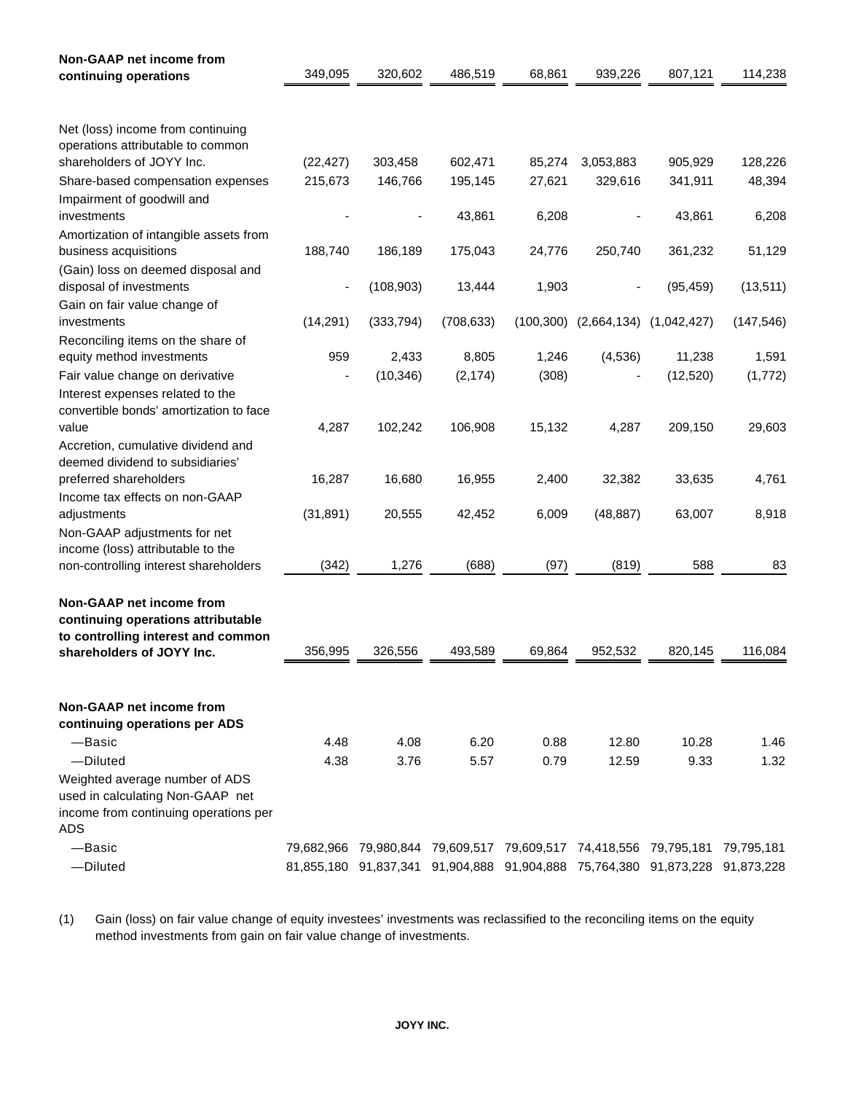| Non-GAAP net income from                                                    |           |            |                                                                              |            |             |             |            |
|-----------------------------------------------------------------------------|-----------|------------|------------------------------------------------------------------------------|------------|-------------|-------------|------------|
| continuing operations                                                       | 349,095   | 320,602    | 486,519                                                                      | 68,861     | 939,226     | 807,121     | 114,238    |
|                                                                             |           |            |                                                                              |            |             |             |            |
| Net (loss) income from continuing                                           |           |            |                                                                              |            |             |             |            |
| operations attributable to common                                           |           |            |                                                                              |            |             |             |            |
| shareholders of JOYY Inc.                                                   | (22, 427) | 303,458    | 602,471                                                                      | 85,274     | 3,053,883   | 905,929     | 128,226    |
| Share-based compensation expenses                                           | 215,673   | 146,766    | 195,145                                                                      | 27,621     | 329,616     | 341,911     | 48,394     |
| Impairment of goodwill and                                                  |           |            |                                                                              |            |             |             |            |
| investments                                                                 |           |            | 43,861                                                                       | 6,208      |             | 43,861      | 6,208      |
| Amortization of intangible assets from                                      |           |            |                                                                              |            |             |             |            |
| business acquisitions                                                       | 188,740   | 186,189    | 175,043                                                                      | 24,776     | 250,740     | 361,232     | 51,129     |
| (Gain) loss on deemed disposal and                                          |           |            |                                                                              |            |             |             |            |
| disposal of investments                                                     |           | (108, 903) | 13,444                                                                       | 1,903      |             | (95, 459)   | (13, 511)  |
| Gain on fair value change of                                                |           |            |                                                                              |            |             |             |            |
| investments                                                                 | (14, 291) | (333, 794) | (708, 633)                                                                   | (100, 300) | (2,664,134) | (1,042,427) | (147, 546) |
| Reconciling items on the share of                                           |           |            |                                                                              |            |             |             |            |
| equity method investments                                                   | 959       | 2,433      | 8,805                                                                        | 1,246      | (4, 536)    | 11,238      | 1,591      |
| Fair value change on derivative                                             |           | (10, 346)  | (2, 174)                                                                     | (308)      |             | (12, 520)   | (1, 772)   |
| Interest expenses related to the<br>convertible bonds' amortization to face |           |            |                                                                              |            |             |             |            |
| value                                                                       | 4,287     | 102,242    | 106,908                                                                      | 15,132     | 4,287       | 209,150     | 29,603     |
| Accretion, cumulative dividend and                                          |           |            |                                                                              |            |             |             |            |
| deemed dividend to subsidiaries'                                            |           |            |                                                                              |            |             |             |            |
| preferred shareholders                                                      | 16,287    | 16,680     | 16,955                                                                       | 2,400      | 32,382      | 33,635      | 4,761      |
| Income tax effects on non-GAAP                                              |           |            |                                                                              |            |             |             |            |
| adjustments                                                                 | (31, 891) | 20,555     | 42,452                                                                       | 6,009      | (48, 887)   | 63,007      | 8,918      |
| Non-GAAP adjustments for net                                                |           |            |                                                                              |            |             |             |            |
| income (loss) attributable to the                                           |           |            |                                                                              |            |             |             |            |
| non-controlling interest shareholders                                       | (342)     | 1,276      | (688)                                                                        | (97)       | (819)       | 588         | 83         |
| Non-GAAP net income from                                                    |           |            |                                                                              |            |             |             |            |
| continuing operations attributable                                          |           |            |                                                                              |            |             |             |            |
| to controlling interest and common                                          |           |            |                                                                              |            |             |             |            |
| shareholders of JOYY Inc.                                                   | 356,995   | 326,556    | 493,589                                                                      | 69,864     | 952,532     | 820,145     | 116,084    |
|                                                                             |           |            |                                                                              |            |             |             |            |
| Non-GAAP net income from                                                    |           |            |                                                                              |            |             |             |            |
| continuing operations per ADS                                               |           |            |                                                                              |            |             |             |            |
| -Basic                                                                      | 4.48      | 4.08       | 6.20                                                                         | 0.88       | 12.80       | 10.28       | 1.46       |
| -Diluted                                                                    | 4.38      | 3.76       | 5.57                                                                         | 0.79       | 12.59       | 9.33        | 1.32       |
| Weighted average number of ADS                                              |           |            |                                                                              |            |             |             |            |
| used in calculating Non-GAAP net                                            |           |            |                                                                              |            |             |             |            |
| income from continuing operations per                                       |           |            |                                                                              |            |             |             |            |
| <b>ADS</b>                                                                  |           |            |                                                                              |            |             |             |            |
| -Basic                                                                      |           |            | 79,682,966 79,980,844 79,609,517 79,609,517 74,418,556 79,795,181 79,795,181 |            |             |             |            |
| -Diluted                                                                    |           |            | 81,855,180 91,837,341 91,904,888 91,904,888 75,764,380 91,873,228 91,873,228 |            |             |             |            |

(1) Gain (loss) on fair value change of equity investees' investments was reclassified to the reconciling items on the equity method investments from gain on fair value change of investments.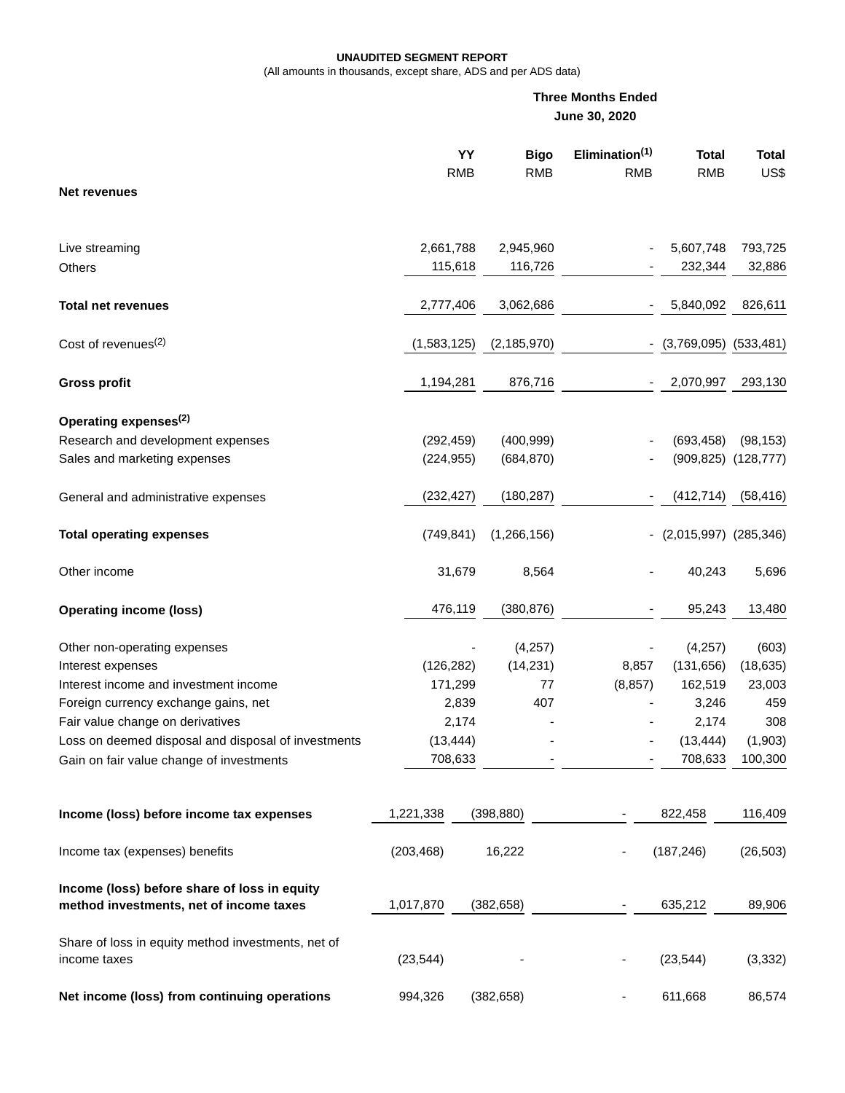## **UNAUDITED SEGMENT REPORT**

(All amounts in thousands, except share, ADS and per ADS data)

# **Three Months Ended June 30, 2020**

|                                                                    | YY          |               | <b>Bigo</b> | Elimination <sup>(1)</sup> | <b>Total</b>               | <b>Total</b> |
|--------------------------------------------------------------------|-------------|---------------|-------------|----------------------------|----------------------------|--------------|
| Net revenues                                                       | <b>RMB</b>  |               | <b>RMB</b>  | <b>RMB</b>                 | <b>RMB</b>                 | US\$         |
|                                                                    |             |               |             |                            |                            |              |
| Live streaming                                                     | 2,661,788   | 2,945,960     |             |                            | 5,607,748                  | 793,725      |
| Others                                                             | 115,618     |               | 116,726     |                            | 232,344                    | 32,886       |
| <b>Total net revenues</b>                                          | 2,777,406   | 3,062,686     |             |                            | 5,840,092                  | 826,611      |
| Cost of revenues <sup>(2)</sup>                                    | (1,583,125) | (2, 185, 970) |             |                            | (3,769,095)                | (533, 481)   |
| <b>Gross profit</b>                                                | 1,194,281   |               | 876,716     |                            | 2,070,997                  | 293,130      |
| Operating expenses <sup>(2)</sup>                                  |             |               |             |                            |                            |              |
| Research and development expenses                                  | (292, 459)  | (400, 999)    |             |                            | (693, 458)                 | (98, 153)    |
| Sales and marketing expenses                                       | (224, 955)  | (684, 870)    |             |                            | (909,825) (128,777)        |              |
| General and administrative expenses                                | (232, 427)  | (180, 287)    |             |                            | (412, 714)                 | (58, 416)    |
| <b>Total operating expenses</b>                                    | (749, 841)  | (1,266,156)   |             |                            | $-(2,015,997)$ $(285,346)$ |              |
| Other income                                                       | 31,679      |               | 8,564       |                            | 40,243                     | 5,696        |
| <b>Operating income (loss)</b>                                     | 476,119     | (380, 876)    |             |                            | 95,243                     | 13,480       |
| Other non-operating expenses                                       |             |               | (4,257)     |                            | (4,257)                    | (603)        |
| Interest expenses                                                  | (126, 282)  |               | (14, 231)   | 8,857                      | (131, 656)                 | (18, 635)    |
| Interest income and investment income                              | 171,299     |               | 77          | (8, 857)                   | 162,519                    | 23,003       |
| Foreign currency exchange gains, net                               | 2,839       |               | 407         |                            | 3,246                      | 459          |
| Fair value change on derivatives                                   | 2,174       |               |             |                            | 2,174                      | 308          |
| Loss on deemed disposal and disposal of investments                | (13, 444)   |               |             |                            | (13, 444)                  | (1,903)      |
| Gain on fair value change of investments                           | 708,633     |               |             |                            | 708,633                    | 100,300      |
| Income (loss) before income tax expenses                           | 1,221,338   | (398, 880)    |             |                            | 822,458                    | 116,409      |
| Income tax (expenses) benefits                                     | (203, 468)  | 16,222        |             |                            | (187, 246)                 | (26, 503)    |
| Income (loss) before share of loss in equity                       |             |               |             |                            |                            |              |
| method investments, net of income taxes                            | 1,017,870   | (382, 658)    |             |                            | 635,212                    | 89,906       |
| Share of loss in equity method investments, net of<br>income taxes | (23, 544)   |               |             |                            | (23, 544)                  | (3, 332)     |
| Net income (loss) from continuing operations                       | 994,326     | (382, 658)    |             |                            | 611,668                    | 86,574       |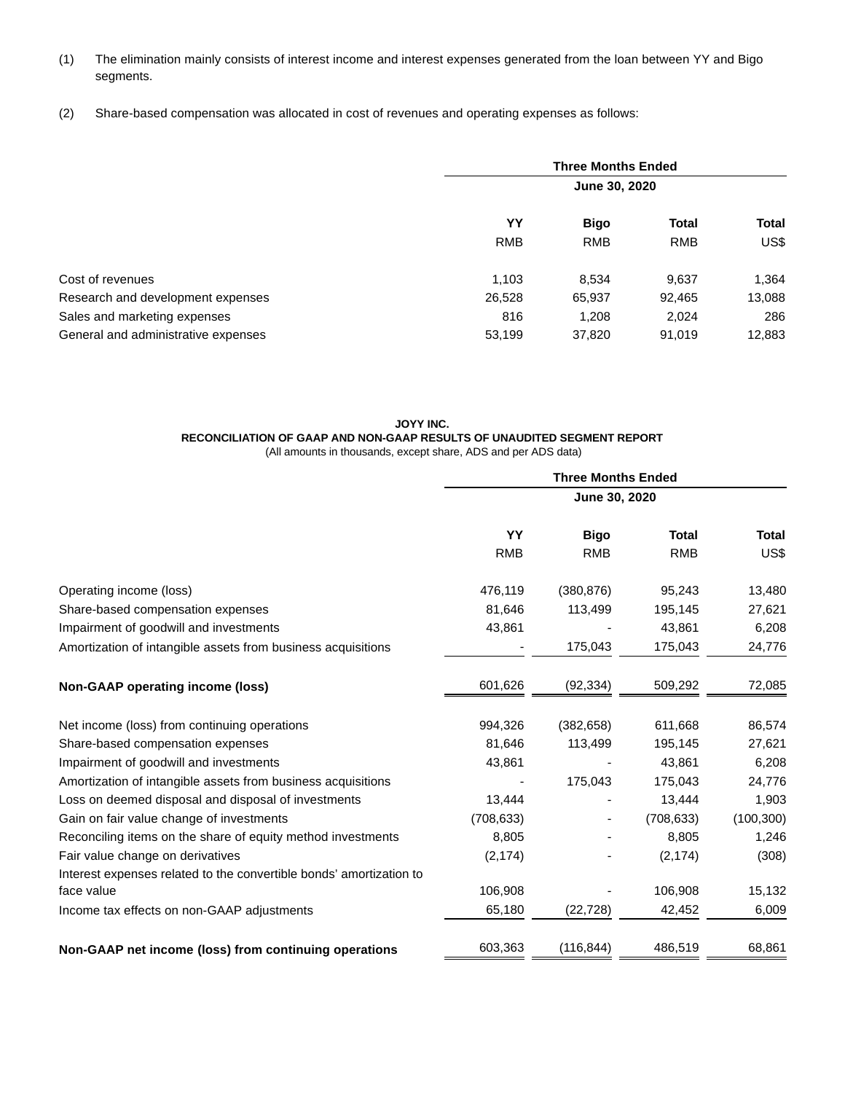- (1) The elimination mainly consists of interest income and interest expenses generated from the loan between YY and Bigo segments.
- (2) Share-based compensation was allocated in cost of revenues and operating expenses as follows:

|                                     | <b>Three Months Ended</b> |             |              |              |  |
|-------------------------------------|---------------------------|-------------|--------------|--------------|--|
|                                     | June 30, 2020             |             |              |              |  |
|                                     | YY                        | <b>Bigo</b> | <b>Total</b> | <b>Total</b> |  |
|                                     | <b>RMB</b>                | <b>RMB</b>  | <b>RMB</b>   | US\$         |  |
| Cost of revenues                    | 1,103                     | 8,534       | 9,637        | 1,364        |  |
| Research and development expenses   | 26,528                    | 65,937      | 92,465       | 13,088       |  |
| Sales and marketing expenses        | 816                       | 1,208       | 2,024        | 286          |  |
| General and administrative expenses | 53,199                    | 37,820      | 91,019       | 12,883       |  |

**JOYY INC. RECONCILIATION OF GAAP AND NON-GAAP RESULTS OF UNAUDITED SEGMENT REPORT** (All amounts in thousands, except share, ADS and per ADS data)

|                                                                     | <b>Three Months Ended</b> |                           |                            |                      |  |  |
|---------------------------------------------------------------------|---------------------------|---------------------------|----------------------------|----------------------|--|--|
|                                                                     | June 30, 2020             |                           |                            |                      |  |  |
|                                                                     | YY<br><b>RMB</b>          | <b>Bigo</b><br><b>RMB</b> | <b>Total</b><br><b>RMB</b> | <b>Total</b><br>US\$ |  |  |
| Operating income (loss)                                             | 476,119                   | (380, 876)                | 95,243                     | 13,480               |  |  |
| Share-based compensation expenses                                   | 81,646                    | 113,499                   | 195,145                    | 27,621               |  |  |
| Impairment of goodwill and investments                              | 43,861                    |                           | 43,861                     | 6,208                |  |  |
| Amortization of intangible assets from business acquisitions        |                           | 175,043                   | 175,043                    | 24,776               |  |  |
| <b>Non-GAAP operating income (loss)</b>                             | 601,626                   | (92, 334)                 | 509,292                    | 72,085               |  |  |
| Net income (loss) from continuing operations                        | 994,326                   | (382, 658)                | 611,668                    | 86,574               |  |  |
| Share-based compensation expenses                                   | 81,646                    | 113,499                   | 195,145                    | 27,621               |  |  |
| Impairment of goodwill and investments                              | 43,861                    |                           | 43,861                     | 6,208                |  |  |
| Amortization of intangible assets from business acquisitions        |                           | 175,043                   | 175,043                    | 24,776               |  |  |
| Loss on deemed disposal and disposal of investments                 | 13,444                    |                           | 13,444                     | 1,903                |  |  |
| Gain on fair value change of investments                            | (708, 633)                |                           | (708, 633)                 | (100, 300)           |  |  |
| Reconciling items on the share of equity method investments         | 8,805                     |                           | 8,805                      | 1,246                |  |  |
| Fair value change on derivatives                                    | (2, 174)                  |                           | (2, 174)                   | (308)                |  |  |
| Interest expenses related to the convertible bonds' amortization to |                           |                           |                            |                      |  |  |
| face value                                                          | 106,908                   |                           | 106,908                    | 15,132               |  |  |
| Income tax effects on non-GAAP adjustments                          | 65,180                    | (22, 728)                 | 42,452                     | 6,009                |  |  |
| Non-GAAP net income (loss) from continuing operations               | 603,363                   | (116, 844)                | 486,519                    | 68,861               |  |  |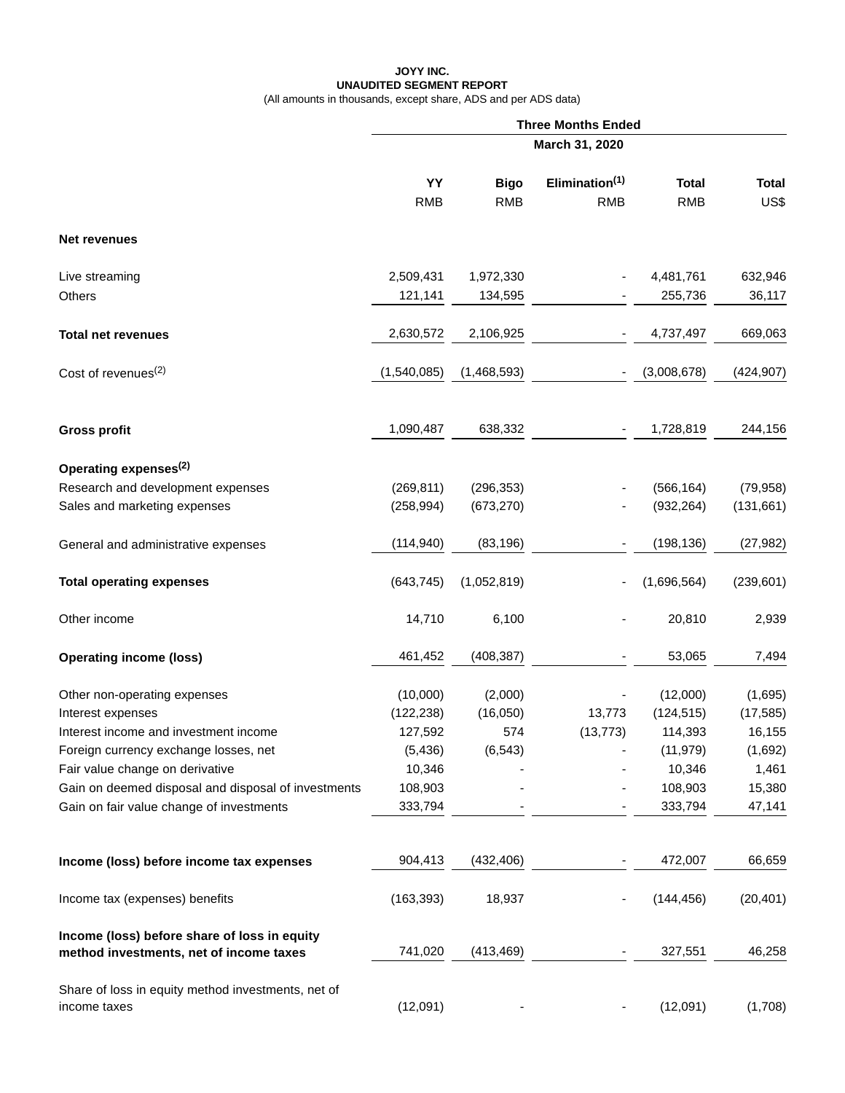## **JOYY INC. UNAUDITED SEGMENT REPORT** (All amounts in thousands, except share, ADS and per ADS data)

|                                                                                         | <b>Three Months Ended</b><br>March 31, 2020 |                           |                                          |                            |                      |
|-----------------------------------------------------------------------------------------|---------------------------------------------|---------------------------|------------------------------------------|----------------------------|----------------------|
|                                                                                         | YY<br><b>RMB</b>                            | <b>Bigo</b><br><b>RMB</b> | Elimination <sup>(1)</sup><br><b>RMB</b> | <b>Total</b><br><b>RMB</b> | <b>Total</b><br>US\$ |
| <b>Net revenues</b>                                                                     |                                             |                           |                                          |                            |                      |
| Live streaming                                                                          | 2,509,431                                   | 1,972,330                 |                                          | 4,481,761                  | 632,946              |
| Others                                                                                  | 121,141                                     | 134,595                   |                                          | 255,736                    | 36,117               |
| <b>Total net revenues</b>                                                               | 2,630,572                                   | 2,106,925                 |                                          | 4,737,497                  | 669,063              |
| Cost of revenues <sup>(2)</sup>                                                         | (1,540,085)                                 | (1,468,593)               |                                          | (3,008,678)                | (424, 907)           |
| <b>Gross profit</b>                                                                     | 1,090,487                                   | 638,332                   |                                          | 1,728,819                  | 244,156              |
| Operating expenses <sup>(2)</sup>                                                       |                                             |                           |                                          |                            |                      |
| Research and development expenses                                                       | (269, 811)                                  | (296, 353)                |                                          | (566, 164)                 | (79, 958)            |
| Sales and marketing expenses                                                            | (258, 994)                                  | (673, 270)                |                                          | (932, 264)                 | (131, 661)           |
| General and administrative expenses                                                     | (114, 940)                                  | (83, 196)                 |                                          | (198, 136)                 | (27, 982)            |
| <b>Total operating expenses</b>                                                         | (643, 745)                                  | (1,052,819)               |                                          | (1,696,564)                | (239, 601)           |
| Other income                                                                            | 14,710                                      | 6,100                     |                                          | 20,810                     | 2,939                |
| <b>Operating income (loss)</b>                                                          | 461,452                                     | (408, 387)                |                                          | 53,065                     | 7,494                |
| Other non-operating expenses                                                            | (10,000)                                    | (2,000)                   |                                          | (12,000)                   | (1,695)              |
| Interest expenses                                                                       | (122, 238)                                  | (16,050)                  | 13,773                                   | (124, 515)                 | (17, 585)            |
| Interest income and investment income                                                   | 127,592                                     | 574                       | (13, 773)                                | 114,393                    | 16,155               |
| Foreign currency exchange losses, net                                                   | (5, 436)                                    | (6, 543)                  |                                          | (11, 979)                  | (1,692)              |
| Fair value change on derivative                                                         | 10,346                                      |                           |                                          | 10,346                     | 1,461                |
| Gain on deemed disposal and disposal of investments                                     | 108,903                                     |                           |                                          | 108,903                    | 15,380               |
| Gain on fair value change of investments                                                | 333,794                                     |                           |                                          | 333,794                    | 47,141               |
| Income (loss) before income tax expenses                                                | 904,413                                     | (432, 406)                |                                          | 472,007                    | 66,659               |
| Income tax (expenses) benefits                                                          | (163, 393)                                  | 18,937                    |                                          | (144, 456)                 | (20, 401)            |
| Income (loss) before share of loss in equity<br>method investments, net of income taxes | 741,020                                     | (413, 469)                |                                          | 327,551                    | 46,258               |
| Share of loss in equity method investments, net of                                      |                                             |                           |                                          |                            |                      |
| income taxes                                                                            | (12,091)                                    |                           |                                          | (12,091)                   | (1,708)              |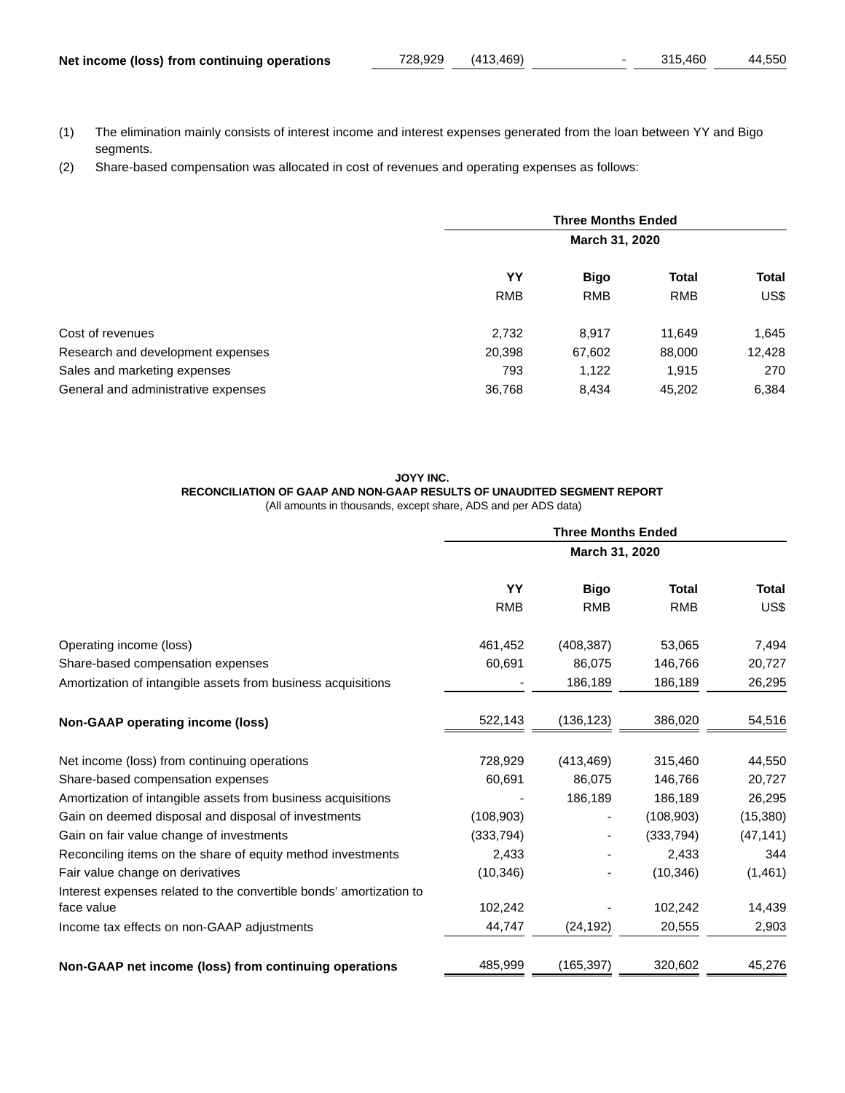- 
- (1) The elimination mainly consists of interest income and interest expenses generated from the loan between YY and Bigo segments.
- (2) Share-based compensation was allocated in cost of revenues and operating expenses as follows:

|                                     | <b>Three Months Ended</b> |             |            |              |  |
|-------------------------------------|---------------------------|-------------|------------|--------------|--|
|                                     | March 31, 2020            |             |            |              |  |
|                                     | YY                        | <b>Bigo</b> | Total      | <b>Total</b> |  |
|                                     | <b>RMB</b>                | <b>RMB</b>  | <b>RMB</b> | US\$         |  |
| Cost of revenues                    | 2,732                     | 8,917       | 11,649     | 1,645        |  |
| Research and development expenses   | 20,398                    | 67,602      | 88,000     | 12,428       |  |
| Sales and marketing expenses        | 793                       | 1,122       | 1,915      | 270          |  |
| General and administrative expenses | 36,768                    | 8,434       | 45,202     | 6,384        |  |

## **JOYY INC. RECONCILIATION OF GAAP AND NON-GAAP RESULTS OF UNAUDITED SEGMENT REPORT** (All amounts in thousands, except share, ADS and per ADS data)

|                                                                     | <b>Three Months Ended</b> |             |              |              |  |  |
|---------------------------------------------------------------------|---------------------------|-------------|--------------|--------------|--|--|
|                                                                     | March 31, 2020            |             |              |              |  |  |
|                                                                     | YY                        | <b>Bigo</b> | <b>Total</b> | <b>Total</b> |  |  |
|                                                                     | <b>RMB</b>                | <b>RMB</b>  | <b>RMB</b>   | US\$         |  |  |
| Operating income (loss)                                             | 461,452                   | (408, 387)  | 53,065       | 7,494        |  |  |
| Share-based compensation expenses                                   | 60,691                    | 86,075      | 146,766      | 20,727       |  |  |
| Amortization of intangible assets from business acquisitions        |                           | 186,189     | 186,189      | 26,295       |  |  |
| <b>Non-GAAP operating income (loss)</b>                             | 522,143                   | (136, 123)  | 386,020      | 54,516       |  |  |
| Net income (loss) from continuing operations                        | 728,929                   | (413, 469)  | 315,460      | 44,550       |  |  |
| Share-based compensation expenses                                   | 60,691                    | 86,075      | 146,766      | 20,727       |  |  |
| Amortization of intangible assets from business acquisitions        |                           | 186,189     | 186,189      | 26,295       |  |  |
| Gain on deemed disposal and disposal of investments                 | (108, 903)                |             | (108, 903)   | (15, 380)    |  |  |
| Gain on fair value change of investments                            | (333, 794)                |             | (333, 794)   | (47, 141)    |  |  |
| Reconciling items on the share of equity method investments         | 2,433                     |             | 2,433        | 344          |  |  |
| Fair value change on derivatives                                    | (10, 346)                 |             | (10, 346)    | (1, 461)     |  |  |
| Interest expenses related to the convertible bonds' amortization to |                           |             |              |              |  |  |
| face value                                                          | 102,242                   |             | 102,242      | 14,439       |  |  |
| Income tax effects on non-GAAP adjustments                          | 44,747                    | (24, 192)   | 20,555       | 2,903        |  |  |
| Non-GAAP net income (loss) from continuing operations               | 485,999                   | (165, 397)  | 320,602      | 45,276       |  |  |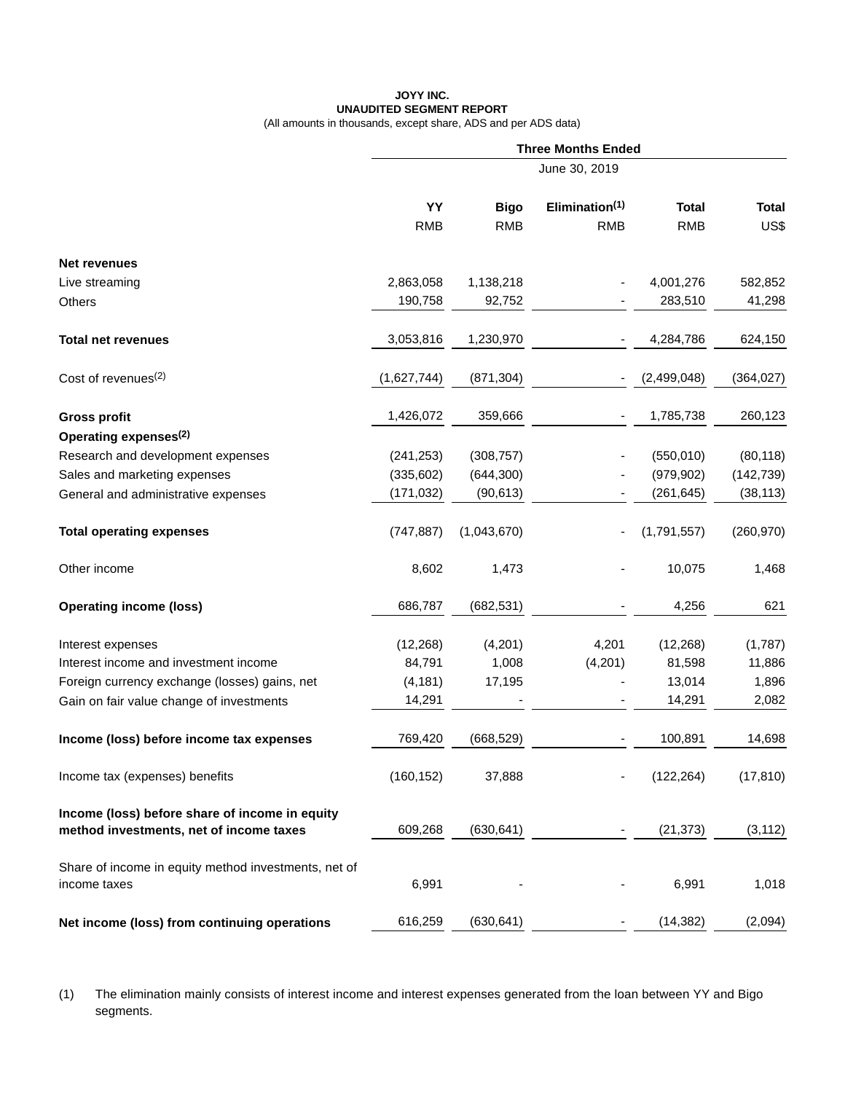## **JOYY INC. UNAUDITED SEGMENT REPORT**

(All amounts in thousands, except share, ADS and per ADS data)

|                                                                                           | <b>Three Months Ended</b> |             |                            |              |              |  |
|-------------------------------------------------------------------------------------------|---------------------------|-------------|----------------------------|--------------|--------------|--|
|                                                                                           | June 30, 2019             |             |                            |              |              |  |
|                                                                                           | YY                        | <b>Bigo</b> | Elimination <sup>(1)</sup> | <b>Total</b> | <b>Total</b> |  |
|                                                                                           | <b>RMB</b>                | <b>RMB</b>  | <b>RMB</b>                 | <b>RMB</b>   | US\$         |  |
| <b>Net revenues</b>                                                                       |                           |             |                            |              |              |  |
| Live streaming                                                                            | 2,863,058                 | 1,138,218   |                            | 4,001,276    | 582,852      |  |
| Others                                                                                    | 190,758                   | 92,752      |                            | 283,510      | 41,298       |  |
| <b>Total net revenues</b>                                                                 | 3,053,816                 | 1,230,970   |                            | 4,284,786    | 624,150      |  |
| Cost of revenues <sup>(2)</sup>                                                           | (1,627,744)               | (871, 304)  |                            | (2,499,048)  | (364, 027)   |  |
| <b>Gross profit</b>                                                                       | 1,426,072                 | 359,666     |                            | 1,785,738    | 260,123      |  |
| Operating expenses <sup>(2)</sup>                                                         |                           |             |                            |              |              |  |
| Research and development expenses                                                         | (241, 253)                | (308, 757)  |                            | (550, 010)   | (80, 118)    |  |
| Sales and marketing expenses                                                              | (335, 602)                | (644, 300)  |                            | (979, 902)   | (142, 739)   |  |
| General and administrative expenses                                                       | (171, 032)                | (90, 613)   |                            | (261, 645)   | (38, 113)    |  |
| <b>Total operating expenses</b>                                                           | (747, 887)                | (1,043,670) |                            | (1,791,557)  | (260, 970)   |  |
| Other income                                                                              | 8,602                     | 1,473       |                            | 10,075       | 1,468        |  |
| <b>Operating income (loss)</b>                                                            | 686,787                   | (682, 531)  |                            | 4,256        | 621          |  |
| Interest expenses                                                                         | (12, 268)                 | (4,201)     | 4,201                      | (12, 268)    | (1,787)      |  |
| Interest income and investment income                                                     | 84,791                    | 1,008       | (4,201)                    | 81,598       | 11,886       |  |
| Foreign currency exchange (losses) gains, net                                             | (4, 181)                  | 17,195      |                            | 13,014       | 1,896        |  |
| Gain on fair value change of investments                                                  | 14,291                    |             |                            | 14,291       | 2,082        |  |
| Income (loss) before income tax expenses                                                  | 769,420                   | (668, 529)  |                            | 100,891      | 14,698       |  |
| Income tax (expenses) benefits                                                            | (160, 152)                | 37,888      |                            | (122, 264)   | (17, 810)    |  |
| Income (loss) before share of income in equity<br>method investments, net of income taxes | 609,268                   | (630, 641)  |                            | (21, 373)    | (3, 112)     |  |
| Share of income in equity method investments, net of<br>income taxes                      | 6,991                     |             |                            | 6,991        | 1,018        |  |
| Net income (loss) from continuing operations                                              | 616,259                   | (630, 641)  |                            | (14, 382)    | (2,094)      |  |
|                                                                                           |                           |             |                            |              |              |  |

(1) The elimination mainly consists of interest income and interest expenses generated from the loan between YY and Bigo segments.